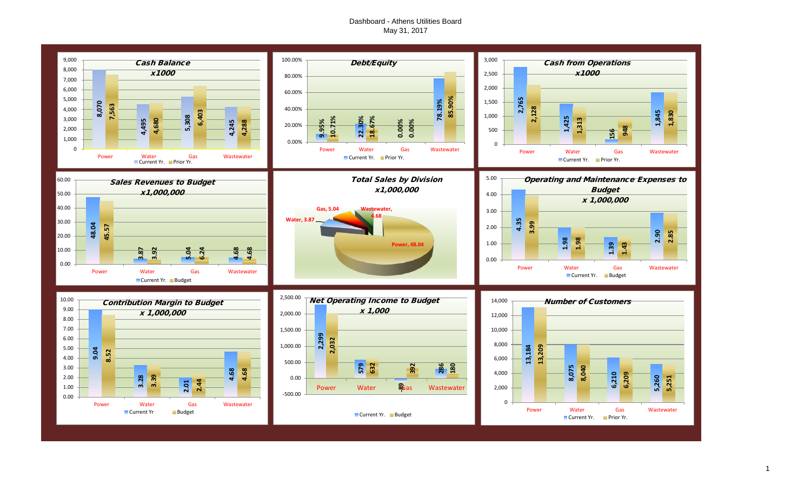#### Dashboard - Athens Utilities Board May 31, 2017

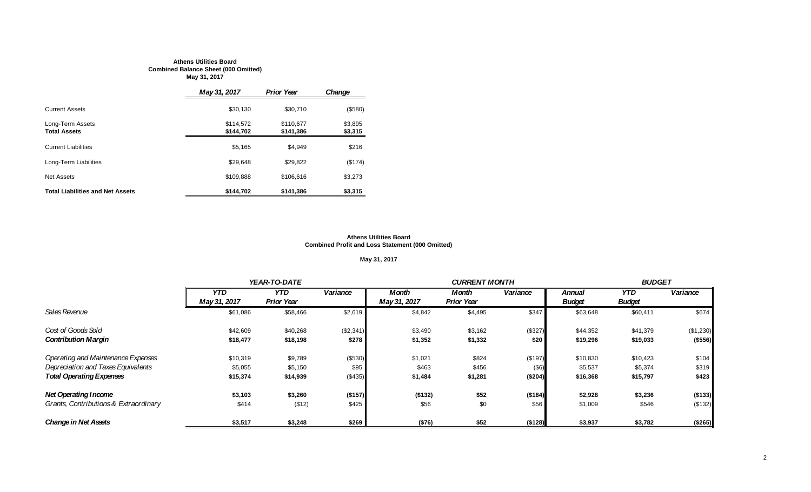#### **Athens Utilities Board Combined Balance Sheet (000 Omitted) May 31, 2017**

|                                         | May 31, 2017           | <b>Prior Year</b>      | Change             |
|-----------------------------------------|------------------------|------------------------|--------------------|
| <b>Current Assets</b>                   | \$30,130               | \$30.710               | (\$580)            |
| Long-Term Assets<br><b>Total Assets</b> | \$114,572<br>\$144,702 | \$110.677<br>\$141,386 | \$3,895<br>\$3,315 |
| <b>Current Liabilities</b>              | \$5.165                | \$4.949                | \$216              |
| Long-Term Liabilities                   | \$29.648               | \$29.822               | (\$174)            |
| <b>Net Assets</b>                       | \$109.888              | \$106.616              | \$3,273            |
| <b>Total Liabilities and Net Assets</b> | \$144.702              | \$141.386              | \$3,315            |

#### **Athens Utilities Board Combined Profit and Loss Statement (000 Omitted)**

### **May 31, 2017**

|                                       |              | YEAR-TO-DATE      |           |              | <b>CURRENT MONTH</b> |          |               | <b>BUDGET</b> |           |  |
|---------------------------------------|--------------|-------------------|-----------|--------------|----------------------|----------|---------------|---------------|-----------|--|
|                                       | <b>YTD</b>   | <b>YTD</b>        | Variance  | <b>Month</b> | Month                | Variance | Annual        | <b>YTD</b>    | Variance  |  |
|                                       | May 31, 2017 | <b>Prior Year</b> |           | May 31, 2017 | <b>Prior Year</b>    |          | <b>Budget</b> | <b>Budget</b> |           |  |
| Sales Revenue                         | \$61,086     | \$58,466          | \$2,619   | \$4,842      | \$4,495              | \$347    | \$63,648      | \$60,411      | \$674     |  |
| Cost of Goods Sold                    | \$42,609     | \$40,268          | (\$2,341) | \$3,490      | \$3,162              | (\$327)  | \$44,352      | \$41,379      | (\$1,230) |  |
| <b>Contribution Margin</b>            | \$18,477     | \$18,198          | \$278     | \$1,352      | \$1,332              | \$20     | \$19,296      | \$19,033      | (\$556)   |  |
| Operating and Maintenance Expenses    | \$10,319     | \$9,789           | (\$530)   | \$1,021      | \$824                | (\$197)  | \$10,830      | \$10,423      | \$104     |  |
| Depreciation and Taxes Equivalents    | \$5,055      | \$5,150           | \$95      | \$463        | \$456                | $($ \$6) | \$5,537       | \$5,374       | \$319     |  |
| <b>Total Operating Expenses</b>       | \$15,374     | \$14,939          | (\$435)   | \$1,484      | \$1,281              | (\$204)  | \$16,368      | \$15,797      | \$423     |  |
| <b>Net Operating Income</b>           | \$3,103      | \$3,260           | (\$157)   | ( \$132)     | \$52                 | ( \$184) | \$2,928       | \$3,236       | (\$133)   |  |
| Grants, Contributions & Extraordinary | \$414        | (\$12)            | \$425     | \$56         | \$0                  | \$56     | \$1,009       | \$546         | (\$132)   |  |
| <b>Change in Net Assets</b>           | \$3,517      | \$3,248           | \$269     | (\$76)       | \$52                 | (\$128)  | \$3,937       | \$3,782       | (\$265)   |  |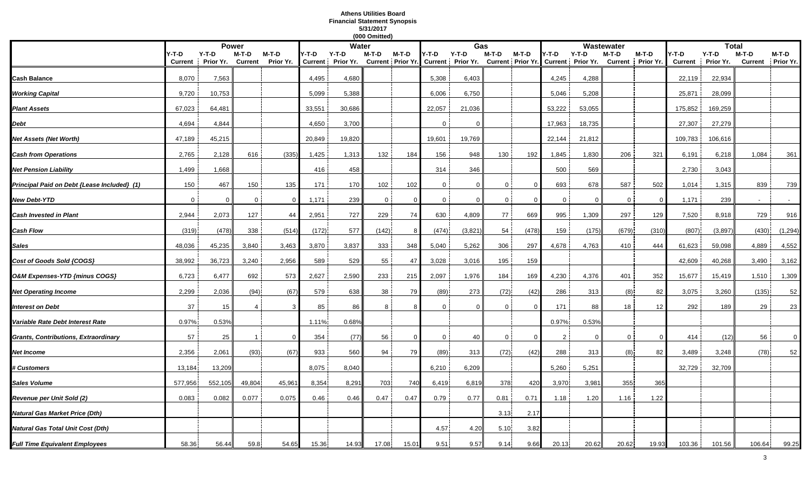## **Athens Utilities Board Financial Statement Synopsis 5/31/2017**

|                                             |                         |                      |                         |                    |                         |                      | (000 Omitted) |          |                |                                                    |              |                            |                |                              |                         |                    |                         |                      |                         |                    |
|---------------------------------------------|-------------------------|----------------------|-------------------------|--------------------|-------------------------|----------------------|---------------|----------|----------------|----------------------------------------------------|--------------|----------------------------|----------------|------------------------------|-------------------------|--------------------|-------------------------|----------------------|-------------------------|--------------------|
|                                             |                         |                      | <b>Power</b>            |                    |                         | Water                |               |          |                | Gas                                                |              |                            |                |                              | Wastewater              |                    |                         | <b>Total</b>         |                         |                    |
|                                             | Y-T-D<br><b>Current</b> | $Y-T-D$<br>Prior Yr. | M-T-D<br><b>Current</b> | M-T-D<br>Prior Yr. | Y-T-D<br><b>Current</b> | $Y-T-D$<br>Prior Yr. | M-T-D         | M-T-D    | Y-T-D          | $Y-T-D$<br>Current   Prior Yr. Current   Prior Yr. | M-T-D        | M-T-D<br>Current Prior Yr. | '-T-D          | $Y-T-D$<br>Current Prior Yr. | M-T-D<br><b>Current</b> | M-T-D<br>Prior Yr. | Y-T-D<br><b>Current</b> | $Y-T-D$<br>Prior Yr. | M-T-D<br><b>Current</b> | M-T-D<br>Prior Yr. |
| Cash Balance                                | 8,070                   | 7,563                |                         |                    | 4,495                   | 4,680                |               |          | 5,308          | 6,403                                              |              |                            | 4,245          | 4,288                        |                         |                    | 22,119                  | 22,934               |                         |                    |
| <b>Working Capital</b>                      | 9,720                   | 10,753               |                         |                    | 5,099                   | 5,388                |               |          | 6,006          | 6,750                                              |              |                            | 5,046          | 5,208                        |                         |                    | 25,871                  | 28,099               |                         |                    |
| <b>Plant Assets</b>                         | 67,023                  | 64,481               |                         |                    | 33,551                  | 30,686               |               |          | 22,057         | 21,036                                             |              |                            | 53,222         | 53,055                       |                         |                    | 175,852                 | 169,259              |                         |                    |
| Debt                                        | 4,694                   | 4,844                |                         |                    | 4,650                   | 3,700                |               |          | $\mathbf{0}$   |                                                    |              |                            | 17,963         | 18,735                       |                         |                    | 27,307                  | 27,279               |                         |                    |
| Net Assets (Net Worth)                      | 47,189                  | 45,215               |                         |                    | 20,849                  | 19,820               |               |          | 19,601         | 19,769                                             |              |                            | 22,144         | 21,812                       |                         |                    | 109,783                 | 106,616              |                         |                    |
| <b>Cash from Operations</b>                 | 2,765                   | 2,128                | 616                     | (335)              | 1,425                   | 1,313                | 132           | 184      | 156            | 948                                                | 130          | 192                        | 1,845          | 1,830                        | 206                     | 321                | 6,191                   | 6,218                | 1,084                   | 361                |
| <b>Net Pension Liability</b>                | 1,499                   | 1,668                |                         |                    | 416                     | 458                  |               |          | 314            | 346                                                |              |                            | 500            | 569                          |                         |                    | 2,730                   | 3,043                |                         |                    |
| Principal Paid on Debt {Lease Included} (1) | 150                     | 467                  | 150                     | 135                | 171                     | 170                  | 102           | 102      | $\mathbf{0}$   | $\Omega$                                           | $\mathbf 0$  | $\overline{0}$             | 693            | 678                          | 587                     | 502                | 1,014                   | 1,315                | 839                     | 739                |
| <b>New Debt-YTD</b>                         | $\overline{0}$          | $\Omega$             | $\mathbf 0$             | - 0                | 1,171                   | 239                  | $\mathbf 0$   | $\Omega$ | $\mathbf 0$    | $\Omega$                                           | $\mathbf{0}$ | -0                         | $\mathbf 0$    | $\Omega$                     | $\mathbf 0$             | $\Omega$           | 1,171                   | 239                  |                         | $\sim$             |
| <b>Cash Invested in Plant</b>               | 2,944                   | 2,073                | 127                     | 44                 | 2,951                   | 727                  | 229           | 74       | 630            | 4,809                                              | 77           | 669                        | 995            | 1,309                        | 297                     | 129                | 7,520                   | 8,918                | 729                     | 916                |
| <b>Cash Flow</b>                            | (319)                   | (478)                | 338                     | (514)              | (172)                   | 577                  | (142)         | 8        | (474)          | (3, 821)                                           | 54           | (478)                      | 159            | (175)                        | (679)                   | (310)              | (807)                   | (3,897)              | (430)                   | (1, 294)           |
| Sales                                       | 48,036                  | 45,235               | 3,840                   | 3,463              | 3,870                   | 3,837                | 333           | 348      | 5,040          | 5,262                                              | 306          | 297                        | 4,678          | 4,763                        | 410                     | 444                | 61,623                  | 59,098               | 4,889                   | 4,552              |
| Cost of Goods Sold {COGS}                   | 38,992                  | 36,723               | 3,240                   | 2,956              | 589                     | 529                  | 55            | 47       | 3,028          | 3,016                                              | 195          | 159                        |                |                              |                         |                    | 42,609                  | 40,268               | 3,490                   | 3,162              |
| O&M Expenses-YTD {minus COGS}               | 6,723                   | 6,477                | 692                     | 573                | 2,627                   | 2,590                | 233           | 215      | 2,097          | 1,976                                              | 184          | 169                        | 4,230          | 4,376                        | 401                     | 352                | 15,677                  | 15,419               | 1,510                   | 1,309              |
| <b>Net Operating Income</b>                 | 2,299                   | 2,036                | (94)                    | (67)               | 579                     | 638                  | 38            | 79       | (89)           | 273                                                | (72)         | (42)                       | 286            | 313                          | (8)                     | 82                 | 3,075                   | 3,260                | (135)                   | 52                 |
| <b>Interest on Debt</b>                     | 37                      | 15                   |                         |                    | 85                      | 86                   | 8             |          | $\Omega$       |                                                    | $\mathbf 0$  | $\Omega$                   | 171            | 88                           | 18                      | 12                 | 292                     | 189                  | 29                      | 23                 |
| Variable Rate Debt Interest Rate            | 0.97%                   | 0.53%                |                         |                    | 1.11%                   | 0.68%                |               |          |                |                                                    |              |                            | 0.97%          | 0.53%                        |                         |                    |                         |                      |                         |                    |
| Grants, Contributions, Extraordinary        | 57                      | 25                   |                         | $\Omega$           | 354                     | (77)                 | 56            | $\Omega$ | $\overline{0}$ | 40                                                 | $\mathbf{0}$ | $\overline{0}$             | $\overline{2}$ | $\Omega$                     | $\mathbf{0}$            | $\Omega$           | 414                     | (12)                 | 56                      | $\overline{0}$     |
| Net Income                                  | 2,356                   | 2,061                | (93)                    | (67)               | 933                     | 560                  | 94            | 79       | (89)           | 313                                                | (72)         | (42)                       | 288            | 313                          | (8)                     | 82                 | 3,489                   | 3,248                | (78)                    | 52                 |
| <b># Customers</b>                          | 13,184                  | 13,209               |                         |                    | 8,075                   | 8,040                |               |          | 6,210          | 6,209                                              |              |                            | 5,260          | 5,251                        |                         |                    | 32,729                  | 32,709               |                         |                    |
| Sales Volume                                | 577,956                 | 552,105              | 49,804                  | 45,96              | 8,354                   | 8,291                | 703           | 740      | 6,419          | 6,819                                              | 378          | 420                        | 3,970          | 3,981                        | 355                     | 365                |                         |                      |                         |                    |
| Revenue per Unit Sold (2)                   | 0.083                   | 0.082                | 0.077                   | 0.075              | 0.46                    | 0.46                 | 0.47          | 0.47     | 0.79           | 0.77                                               | 0.81         | 0.71                       | 1.18           | 1.20                         | 1.16                    | 1.22               |                         |                      |                         |                    |
| Natural Gas Market Price (Dth)              |                         |                      |                         |                    |                         |                      |               |          |                |                                                    | 3.13         | 2.1                        |                |                              |                         |                    |                         |                      |                         |                    |
| Natural Gas Total Unit Cost (Dth)           |                         |                      |                         |                    |                         |                      |               |          | 4.57           | 4.20                                               | 5.10         | 3.82                       |                |                              |                         |                    |                         |                      |                         |                    |
| <b>Full Time Equivalent Employees</b>       | 58.36                   | 56.44                | 59.8                    | 54.65              | 15.36                   | 14.93                | 17.08         | 15.01    | 9.51           | 9.57                                               | 9.14         | 9.66                       | 20.13          | 20.62                        | 20.62                   | 19.93              | 103.36                  | 101.56               | 106.64                  | 99.25              |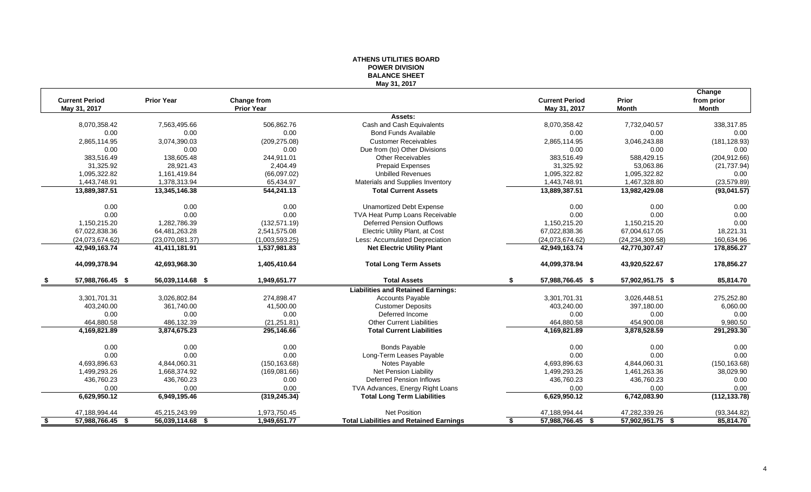#### **ATHENS UTILITIES BOARD POWER DIVISION BALANCE SHEET May 31, 2017**

|      |                       |                   |                   |                                                |                        |                   | Change        |
|------|-----------------------|-------------------|-------------------|------------------------------------------------|------------------------|-------------------|---------------|
|      | <b>Current Period</b> | <b>Prior Year</b> | Change from       |                                                | <b>Current Period</b>  | Prior             | from prior    |
|      | May 31, 2017          |                   | <b>Prior Year</b> |                                                | May 31, 2017           | <b>Month</b>      | Month         |
|      |                       |                   |                   | Assets:                                        |                        |                   |               |
|      | 8,070,358.42          | 7,563,495.66      | 506,862.76        | Cash and Cash Equivalents                      | 8,070,358.42           | 7,732,040.57      | 338,317.85    |
|      | 0.00                  | 0.00              | 0.00              | <b>Bond Funds Available</b>                    | 0.00                   | 0.00              | 0.00          |
|      | 2,865,114.95          | 3,074,390.03      | (209, 275.08)     | <b>Customer Receivables</b>                    | 2,865,114.95           | 3,046,243.88      | (181, 128.93) |
|      | 0.00                  | 0.00              | 0.00              | Due from (to) Other Divisions                  | 0.00                   | 0.00              | 0.00          |
|      | 383,516.49            | 138,605.48        | 244.911.01        | <b>Other Receivables</b>                       | 383,516.49             | 588,429.15        | (204, 912.66) |
|      | 31,325.92             | 28,921.43         | 2,404.49          | <b>Prepaid Expenses</b>                        | 31,325.92              | 53,063.86         | (21, 737.94)  |
|      | 1,095,322.82          | 1,161,419.84      | (66,097.02)       | <b>Unbilled Revenues</b>                       | 1,095,322.82           | 1,095,322.82      | 0.00          |
|      | 1,443,748.91          | 1,378,313.94      | 65,434.97         | Materials and Supplies Inventory               | 1,443,748.91           | 1,467,328.80      | (23, 579.89)  |
|      | 13,889,387.51         | 13,345,146.38     | 544,241.13        | <b>Total Current Assets</b>                    | 13,889,387.51          | 13,982,429.08     | (93,041.57)   |
|      | 0.00                  | 0.00              | 0.00              | <b>Unamortized Debt Expense</b>                | 0.00                   | 0.00              | 0.00          |
|      | 0.00                  | 0.00              | 0.00              | TVA Heat Pump Loans Receivable                 | 0.00                   | 0.00              | 0.00          |
|      | 1,150,215.20          | 1,282,786.39      | (132, 571.19)     | <b>Deferred Pension Outflows</b>               | 1,150,215.20           | 1,150,215.20      | 0.00          |
|      | 67,022,838.36         | 64,481,263.28     | 2,541,575.08      | Electric Utility Plant, at Cost                | 67,022,838.36          | 67,004,617.05     | 18,221.31     |
|      | (24,073,674.62)       | (23,070,081.37)   | (1,003,593.25)    | Less: Accumulated Depreciation                 | (24,073,674.62)        | (24, 234, 309.58) | 160,634.96    |
|      | 42,949,163.74         | 41,411,181.91     | 1,537,981.83      | <b>Net Electric Utility Plant</b>              | 42,949,163.74          | 42,770,307.47     | 178,856.27    |
|      | 44,099,378.94         | 42,693,968.30     | 1,405,410.64      | <b>Total Long Term Assets</b>                  | 44,099,378.94          | 43,920,522.67     | 178,856.27    |
|      | 57,988,766.45 \$      | 56,039,114.68 \$  | 1,949,651.77      | <b>Total Assets</b>                            | 57,988,766.45 \$<br>S. | 57,902,951.75 \$  | 85,814.70     |
|      |                       |                   |                   | <b>Liabilities and Retained Earnings:</b>      |                        |                   |               |
|      | 3,301,701.31          | 3,026,802.84      | 274,898.47        | <b>Accounts Payable</b>                        | 3,301,701.31           | 3,026,448.51      | 275,252.80    |
|      | 403,240.00            | 361,740.00        | 41,500.00         | <b>Customer Deposits</b>                       | 403,240.00             | 397,180.00        | 6,060.00      |
|      | 0.00                  | 0.00              | 0.00              | Deferred Income                                | 0.00                   | 0.00              | 0.00          |
|      | 464,880.58            | 486,132.39        | (21, 251.81)      | <b>Other Current Liabilities</b>               | 464,880.58             | 454,900.08        | 9,980.50      |
|      | 4,169,821.89          | 3,874,675.23      | 295,146.66        | <b>Total Current Liabilities</b>               | 4,169,821.89           | 3,878,528.59      | 291,293.30    |
|      | 0.00                  | 0.00              | 0.00              | <b>Bonds Payable</b>                           | 0.00                   | 0.00              | 0.00          |
|      | 0.00                  | 0.00              | 0.00              | Long-Term Leases Payable                       | 0.00                   | 0.00              | 0.00          |
|      | 4,693,896.63          | 4,844,060.31      | (150, 163.68)     | Notes Payable                                  | 4,693,896.63           | 4,844,060.31      | (150, 163.68) |
|      | 1,499,293.26          | 1,668,374.92      | (169,081.66)      | Net Pension Liability                          | 1,499,293.26           | 1,461,263.36      | 38,029.90     |
|      | 436,760.23            | 436,760.23        | 0.00              | <b>Deferred Pension Inflows</b>                | 436,760.23             | 436,760.23        | 0.00          |
|      | 0.00                  | 0.00              | 0.00              | TVA Advances, Energy Right Loans               | 0.00                   | 0.00              | 0.00          |
|      | 6,629,950.12          | 6,949,195.46      | (319, 245.34)     | <b>Total Long Term Liabilities</b>             | 6,629,950.12           | 6,742,083.90      | (112, 133.78) |
|      | 47,188,994.44         | 45,215,243.99     | 1,973,750.45      | <b>Net Position</b>                            | 47,188,994.44          | 47,282,339.26     | (93, 344.82)  |
| - \$ | 57,988,766.45 \$      | 56,039,114.68 \$  | 1,949,651.77      | <b>Total Liabilities and Retained Earnings</b> | 57,988,766.45 \$<br>\$ | 57,902,951.75 \$  | 85,814.70     |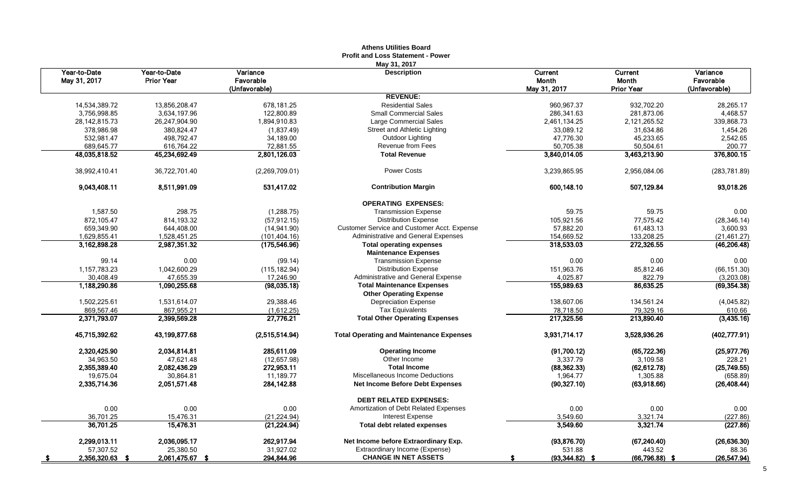|                            |                            |                         | <b>Profit and Loss Statement - Power</b>                        |                         |                         |                      |
|----------------------------|----------------------------|-------------------------|-----------------------------------------------------------------|-------------------------|-------------------------|----------------------|
| Year-to-Date               | Year-to-Date               | Variance                | May 31, 2017<br><b>Description</b>                              | Current                 | Current                 | Variance             |
| May 31, 2017               | <b>Prior Year</b>          | Favorable               |                                                                 | <b>Month</b>            | Month                   | Favorable            |
|                            |                            | (Unfavorable)           |                                                                 | May 31, 2017            | <b>Prior Year</b>       | (Unfavorable)        |
|                            |                            |                         | <b>REVENUE:</b>                                                 |                         |                         |                      |
| 14,534,389.72              | 13,856,208.47              | 678,181.25              | <b>Residential Sales</b>                                        | 960,967.37              | 932,702.20              | 28,265.17            |
| 3,756,998.85               | 3,634,197.96               | 122,800.89              | <b>Small Commercial Sales</b>                                   | 286,341.63              | 281,873.06              | 4,468.57             |
| 28, 142, 815. 73           | 26,247,904.90              | 1,894,910.83            | Large Commercial Sales                                          | 2,461,134.25            | 2,121,265.52            | 339,868.73           |
| 378,986.98                 | 380,824.47                 | (1,837.49)              | Street and Athletic Lighting                                    | 33,089.12               | 31,634.86               | 1,454.26             |
| 532,981.47                 | 498,792.47                 | 34,189.00               | Outdoor Lighting                                                | 47,776.30               | 45,233.65               | 2,542.65             |
| 689,645.77                 | 616,764.22                 | 72,881.55               | Revenue from Fees                                               | 50,705.38               | 50,504.61               | 200.77               |
| 48,035,818.52              | 45,234,692.49              | 2,801,126.03            | <b>Total Revenue</b>                                            | 3,840,014.05            | 3,463,213.90            | 376,800.15           |
| 38,992,410.41              | 36,722,701.40              | (2,269,709.01)          | <b>Power Costs</b>                                              | 3,239,865.95            | 2,956,084.06            | (283, 781.89)        |
| 9,043,408.11               | 8,511,991.09               | 531,417.02              | <b>Contribution Margin</b>                                      | 600,148.10              | 507,129.84              | 93,018.26            |
|                            |                            |                         | <b>OPERATING EXPENSES:</b>                                      |                         |                         |                      |
| 1,587.50                   | 298.75                     | (1,288.75)              | <b>Transmission Expense</b>                                     | 59.75                   | 59.75                   | 0.00                 |
| 872,105.47                 | 814, 193.32                | (57, 912.15)            | <b>Distribution Expense</b>                                     | 105,921.56              | 77,575.42               | (28, 346.14)         |
| 659,349.90                 | 644,408.00                 | (14, 941.90)            | Customer Service and Customer Acct. Expense                     | 57,882.20               | 61,483.13               | 3,600.93             |
| 1,629,855.41               | 1,528,451.25               | (101, 404.16)           | Administrative and General Expenses                             | 154,669.52              | 133,208.25              | (21, 461.27)         |
| 3,162,898.28               | 2,987,351.32               | (175, 546.96)           | <b>Total operating expenses</b>                                 | 318,533.03              | 272,326.55              | (46, 206.48)         |
|                            |                            |                         | <b>Maintenance Expenses</b>                                     |                         |                         |                      |
| 99.14                      | 0.00                       | (99.14)                 | <b>Transmission Expense</b>                                     | 0.00                    | 0.00                    | 0.00                 |
| 1,157,783.23               | 1,042,600.29               | (115, 182.94)           | <b>Distribution Expense</b>                                     | 151,963.76              | 85,812.46               | (66, 151.30)         |
| 30,408.49                  | 47,655.39                  | 17,246.90               | Administrative and General Expense                              | 4,025.87                | 822.79                  | (3,203.08)           |
| 1,188,290.86               | 1,090,255.68               | (98.035.18)             | <b>Total Maintenance Expenses</b>                               | 155,989.63              | 86,635.25               | (69, 354.38)         |
|                            |                            |                         | <b>Other Operating Expense</b>                                  |                         |                         |                      |
| 1,502,225.61<br>869,567.46 | 1,531,614.07               | 29,388.46               | <b>Depreciation Expense</b>                                     | 138,607.06<br>78,718.50 | 134,561.24<br>79,329.16 | (4,045.82)<br>610.66 |
| 2,371,793.07               | 867,955.21<br>2.399.569.28 | (1,612.25)<br>27,776.21 | <b>Tax Equivalents</b><br><b>Total Other Operating Expenses</b> | 217,325.56              | 213,890.40              | (3,435.16)           |
|                            |                            |                         |                                                                 |                         |                         |                      |
| 45,715,392.62              | 43,199,877.68              | (2,515,514.94)          | <b>Total Operating and Maintenance Expenses</b>                 | 3,931,714.17            | 3,528,936.26            | (402, 777.91)        |
| 2,320,425.90               | 2,034,814.81               | 285,611.09              | <b>Operating Income</b>                                         | (91,700.12)             | (65, 722.36)            | (25, 977.76)         |
| 34,963.50                  | 47,621.48                  | (12, 657.98)            | Other Income                                                    | 3,337.79                | 3,109.58                | 228.21               |
| 2,355,389.40               | 2,082,436.29               | 272,953.11              | <b>Total Income</b>                                             | (88, 362.33)            | (62, 612.78)            | (25,749.55)          |
| 19,675.04                  | 30,864.81                  | 11,189.77               | Miscellaneous Income Deductions                                 | 1,964.77                | 1,305.88                | (658.89)             |
| 2,335,714.36               | 2,051,571.48               | 284,142.88              | Net Income Before Debt Expenses                                 | (90, 327.10)            | (63,918.66)             | (26, 408.44)         |
|                            |                            |                         | <b>DEBT RELATED EXPENSES:</b>                                   |                         |                         |                      |
| 0.00                       | 0.00                       | 0.00                    | Amortization of Debt Related Expenses                           | 0.00                    | 0.00                    | 0.00                 |
| 36,701.25                  | 15,476.31                  | (21, 224.94)            | <b>Interest Expense</b>                                         | 3,549.60                | 3,321.74                | (227.86)             |
| 36,701.25                  | 15,476.31                  | (21, 224.94)            | <b>Total debt related expenses</b>                              | 3,549.60                | 3,321.74                | (227.86)             |
| 2,299,013.11               | 2,036,095.17               | 262,917.94              | Net Income before Extraordinary Exp.                            | (93, 876.70)            | (67, 240.40)            | (26, 636.30)         |
| 57,307.52                  | 25,380.50                  | 31,927.02               | Extraordinary Income (Expense)                                  | 531.88                  | 443.52                  | 88.36                |
| 2,356,320.63 \$<br>- 5     | 2,061,475.67               | 294,844.96              | <b>CHANGE IN NET ASSETS</b>                                     | $(93, 344.82)$ \$       | $(66,796.88)$ \$        | (26, 547.94)         |

# **Athens Utilities Board**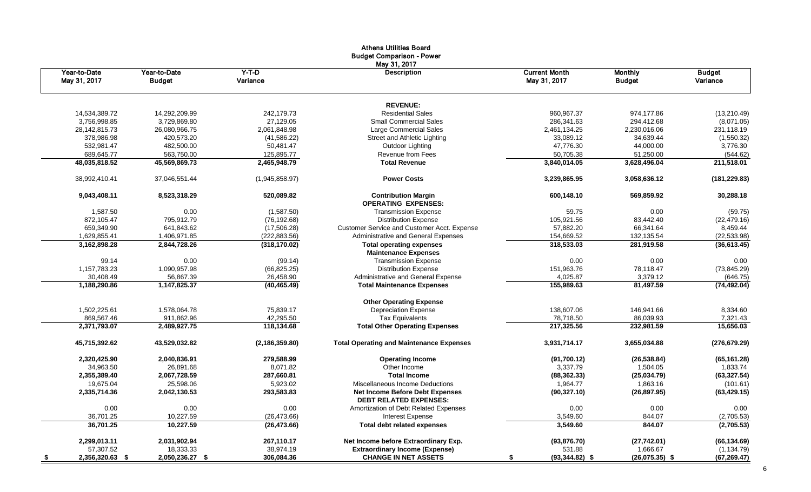|                              |                               |                     | Autoris Utilities Dudi u<br><b>Budget Comparison - Power</b>            |                                      |                                 |                           |
|------------------------------|-------------------------------|---------------------|-------------------------------------------------------------------------|--------------------------------------|---------------------------------|---------------------------|
| Year-to-Date<br>May 31, 2017 | Year-to-Date<br><b>Budget</b> | $Y-T-D$<br>Variance | May 31, 2017<br><b>Description</b>                                      | <b>Current Month</b><br>May 31, 2017 | <b>Monthly</b><br><b>Budget</b> | <b>Budget</b><br>Variance |
|                              |                               |                     | <b>REVENUE:</b>                                                         |                                      |                                 |                           |
| 14,534,389.72                | 14,292,209.99                 | 242,179.73          | <b>Residential Sales</b>                                                | 960,967.37                           | 974,177.86                      | (13,210.49)               |
| 3,756,998.85                 | 3,729,869.80                  | 27,129.05           | <b>Small Commercial Sales</b>                                           | 286,341.63                           | 294,412.68                      | (8,071.05)                |
| 28,142,815.73                | 26,080,966.75                 | 2,061,848.98        | Large Commercial Sales                                                  | 2,461,134.25                         | 2,230,016.06                    | 231,118.19                |
| 378,986.98                   | 420,573.20                    | (41, 586.22)        | Street and Athletic Lighting                                            | 33,089.12                            | 34,639.44                       | (1,550.32)                |
| 532,981.47                   | 482,500.00                    | 50,481.47           | Outdoor Lighting                                                        | 47,776.30                            | 44,000.00                       | 3,776.30                  |
| 689,645.77                   | 563,750.00                    | 125,895.77          | Revenue from Fees                                                       | 50,705.38                            | 51,250.00                       | (544.62)                  |
| 48,035,818.52                | 45,569,869.73                 | 2,465,948.79        | <b>Total Revenue</b>                                                    | 3,840,014.05                         | 3,628,496.04                    | 211,518.01                |
| 38,992,410.41                | 37,046,551.44                 | (1,945,858.97)      | <b>Power Costs</b>                                                      | 3,239,865.95                         | 3,058,636.12                    | (181, 229.83)             |
| 9,043,408.11                 | 8,523,318.29                  | 520,089.82          | <b>Contribution Margin</b><br><b>OPERATING EXPENSES:</b>                | 600,148.10                           | 569,859.92                      | 30,288.18                 |
| 1,587.50                     | 0.00                          | (1,587.50)          | <b>Transmission Expense</b>                                             | 59.75                                | 0.00                            | (59.75)                   |
| 872,105.47                   | 795,912.79                    | (76, 192.68)        | <b>Distribution Expense</b>                                             | 105,921.56                           | 83,442.40                       | (22, 479.16)              |
| 659,349.90                   | 641,843.62                    | (17,506.28)         | Customer Service and Customer Acct. Expense                             | 57,882.20                            | 66,341.64                       | 8,459.44                  |
| 1,629,855.41                 | 1,406,971.85                  | (222, 883.56)       | Administrative and General Expenses                                     | 154,669.52                           | 132,135.54                      | (22, 533.98)              |
| 3,162,898.28                 | 2,844,728.26                  | (318, 170.02)       | <b>Total operating expenses</b>                                         | 318,533.03                           | 281,919.58                      | (36, 613.45)              |
|                              |                               |                     | <b>Maintenance Expenses</b>                                             |                                      |                                 |                           |
| 99.14                        | 0.00                          | (99.14)             | <b>Transmission Expense</b>                                             | 0.00                                 | 0.00                            | 0.00                      |
| 1,157,783.23                 | 1,090,957.98                  | (66, 825.25)        | <b>Distribution Expense</b>                                             | 151,963.76                           | 78,118.47                       | (73, 845.29)              |
| 30,408.49                    | 56,867.39                     | 26,458.90           | Administrative and General Expense                                      | 4,025.87                             | 3,379.12                        | (646.75)                  |
| 1,188,290.86                 | 1,147,825.37                  | (40, 465.49)        | <b>Total Maintenance Expenses</b>                                       | 155,989.63                           | 81,497.59                       | (74, 492.04)              |
|                              |                               |                     | <b>Other Operating Expense</b>                                          |                                      |                                 |                           |
| 1,502,225.61                 | 1,578,064.78                  | 75,839.17           | <b>Depreciation Expense</b>                                             | 138,607.06                           | 146,941.66                      | 8,334.60                  |
| 869,567.46                   | 911,862.96                    | 42,295.50           | <b>Tax Equivalents</b>                                                  | 78,718.50                            | 86,039.93                       | 7,321.43                  |
| 2,371,793.07                 | 2,489,927.75                  | 118,134.68          | <b>Total Other Operating Expenses</b>                                   | 217,325.56                           | 232,981.59                      | 15,656.03                 |
| 45,715,392.62                | 43,529,032.82                 | (2, 186, 359.80)    | <b>Total Operating and Maintenance Expenses</b>                         | 3,931,714.17                         | 3,655,034.88                    | (276, 679.29)             |
| 2,320,425.90                 | 2,040,836.91                  | 279,588.99          | <b>Operating Income</b>                                                 | (91,700.12)                          | (26, 538.84)                    | (65, 161.28)              |
| 34,963.50                    | 26,891.68                     | 8,071.82            | Other Income                                                            | 3,337.79                             | 1,504.05                        | 1,833.74                  |
| 2,355,389.40                 | 2,067,728.59                  | 287,660.81          | <b>Total Income</b>                                                     | (88, 362.33)                         | (25,034.79)                     | (63, 327.54)              |
| 19,675.04                    | 25,598.06                     | 5,923.02            | Miscellaneous Income Deductions                                         | 1,964.77                             | 1,863.16                        | (101.61)                  |
| 2,335,714.36                 | 2,042,130.53                  | 293,583.83          | <b>Net Income Before Debt Expenses</b><br><b>DEBT RELATED EXPENSES:</b> | (90, 327.10)                         | (26, 897.95)                    | (63, 429.15)              |
| 0.00                         | 0.00                          | 0.00                | Amortization of Debt Related Expenses                                   | 0.00                                 | 0.00                            | 0.00                      |
| 36,701.25                    | 10,227.59                     | (26, 473.66)        | <b>Interest Expense</b>                                                 | 3,549.60                             | 844.07                          | (2,705.53)                |
| 36,701.25                    | 10,227.59                     | (26, 473.66)        | <b>Total debt related expenses</b>                                      | 3,549.60                             | 844.07                          | (2,705.53)                |
| 2,299,013.11                 | 2,031,902.94                  | 267,110.17          | Net Income before Extraordinary Exp.                                    | (93, 876.70)                         | (27, 742.01)                    | (66, 134.69)              |
| 57,307.52                    | 18,333.33                     | 38,974.19           | <b>Extraordinary Income (Expense)</b>                                   | 531.88                               | 1,666.67                        | (1, 134.79)               |
| 2,356,320.63 \$<br>- \$      | 2,050,236.27 \$               | 306,084.36          | <b>CHANGE IN NET ASSETS</b>                                             | $(93,344.82)$ \$                     | $(26,075.35)$ \$                | (67, 269.47)              |

# Athens Utilities Board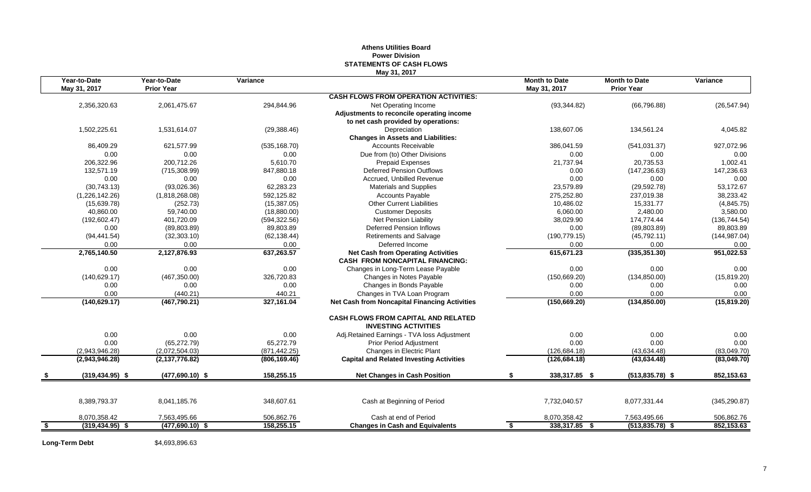#### **Athens Utilities Board Power Division STATEMENTS OF CASH FLOWS May 31, 2017**

|     | Year-to-Date<br>May 31, 2017 | Year-to-Date<br><b>Prior Year</b> | Variance      |                                                                                     | <b>Month to Date</b><br>May 31, 2017 | <b>Month to Date</b><br><b>Prior Year</b> | Variance      |
|-----|------------------------------|-----------------------------------|---------------|-------------------------------------------------------------------------------------|--------------------------------------|-------------------------------------------|---------------|
|     |                              |                                   |               | <b>CASH FLOWS FROM OPERATION ACTIVITIES:</b>                                        |                                      |                                           |               |
|     | 2,356,320.63                 | 2,061,475.67                      | 294,844.96    | Net Operating Income                                                                | (93, 344.82)                         | (66, 796.88)                              | (26, 547.94)  |
|     |                              |                                   |               | Adjustments to reconcile operating income                                           |                                      |                                           |               |
|     |                              |                                   |               | to net cash provided by operations:                                                 |                                      |                                           |               |
|     | 1,502,225.61                 | 1,531,614.07                      | (29, 388.46)  | Depreciation                                                                        | 138,607.06                           | 134,561.24                                | 4,045.82      |
|     |                              |                                   |               | <b>Changes in Assets and Liabilities:</b>                                           |                                      |                                           |               |
|     | 86,409.29                    | 621,577.99                        | (535, 168.70) | <b>Accounts Receivable</b>                                                          | 386,041.59                           | (541, 031.37)                             | 927,072.96    |
|     | 0.00                         | 0.00                              | 0.00          | Due from (to) Other Divisions                                                       | 0.00                                 | 0.00                                      | 0.00          |
|     | 206,322.96                   | 200.712.26                        | 5.610.70      | <b>Prepaid Expenses</b>                                                             | 21,737.94                            | 20,735.53                                 | 1,002.41      |
|     | 132,571.19                   | (715, 308.99)                     | 847,880.18    | <b>Deferred Pension Outflows</b>                                                    | 0.00                                 | (147, 236.63)                             | 147,236.63    |
|     | 0.00                         | 0.00                              | 0.00          | Accrued, Unbilled Revenue                                                           | 0.00                                 | 0.00                                      | 0.00          |
|     | (30,743.13)                  | (93,026.36)                       | 62.283.23     | <b>Materials and Supplies</b>                                                       | 23.579.89                            | (29, 592.78)                              | 53,172.67     |
|     | (1,226,142.26)               | (1,818,268.08)                    | 592,125.82    | <b>Accounts Payable</b>                                                             | 275,252.80                           | 237,019.38                                | 38,233.42     |
|     | (15,639.78)                  | (252.73)                          | (15, 387.05)  | <b>Other Current Liabilities</b>                                                    | 10,486.02                            | 15,331.77                                 | (4,845.75)    |
|     | 40,860.00                    | 59,740.00                         | (18,880.00)   | <b>Customer Deposits</b>                                                            | 6,060.00                             | 2,480.00                                  | 3,580.00      |
|     | (192, 602.47)                | 401,720.09                        | (594, 322.56) | Net Pension Liability                                                               | 38,029.90                            | 174,774.44                                | (136, 744.54) |
|     | 0.00                         | (89, 803.89)                      | 89,803.89     | <b>Deferred Pension Inflows</b>                                                     | 0.00                                 | (89, 803.89)                              | 89,803.89     |
|     | (94, 441.54)                 | (32, 303.10)                      | (62, 138.44)  | Retirements and Salvage                                                             | (190, 779.15)                        | (45, 792.11)                              | (144, 987.04) |
|     | 0.00                         | 0.00                              | 0.00          | Deferred Income                                                                     | 0.00                                 | 0.00                                      | 0.00          |
|     | 2,765,140.50                 | 2,127,876.93                      | 637,263.57    | <b>Net Cash from Operating Activities</b><br><b>CASH FROM NONCAPITAL FINANCING:</b> | 615,671.23                           | (335, 351.30)                             | 951,022.53    |
|     | 0.00                         | 0.00                              | 0.00          | Changes in Long-Term Lease Payable                                                  | 0.00                                 | 0.00                                      | 0.00          |
|     | (140, 629.17)                | (467, 350.00)                     | 326,720.83    | Changes in Notes Payable                                                            | (150, 669.20)                        | (134, 850.00)                             | (15, 819.20)  |
|     | 0.00                         | 0.00                              | 0.00          | Changes in Bonds Payable                                                            | 0.00                                 | 0.00                                      | 0.00          |
|     | 0.00                         | (440.21)                          | 440.21        | Changes in TVA Loan Program                                                         | 0.00                                 | 0.00                                      | 0.00          |
|     | (140, 629.17)                | (467,790.21)                      | 327,161.04    | <b>Net Cash from Noncapital Financing Activities</b>                                | (150, 669.20)                        | (134, 850.00)                             | (15, 819.20)  |
|     |                              |                                   |               | <b>CASH FLOWS FROM CAPITAL AND RELATED</b><br><b>INVESTING ACTIVITIES</b>           |                                      |                                           |               |
|     | 0.00                         | 0.00                              | 0.00          | Adj.Retained Earnings - TVA loss Adjustment                                         | 0.00                                 | 0.00                                      | 0.00          |
|     | 0.00                         | (65, 272.79)                      | 65,272.79     | Prior Period Adjustment                                                             | 0.00                                 | 0.00                                      | 0.00          |
|     | (2,943,946.28)               | (2,072,504.03)                    | (871, 442.25) | Changes in Electric Plant                                                           | (126, 684.18)                        | (43, 634.48)                              | (83,049.70)   |
|     | (2,943,946.28)               | (2, 137, 776.82)                  | (806, 169.46) | <b>Capital and Related Investing Activities</b>                                     | (126, 684.18)                        | (43, 634.48)                              | (83,049.70)   |
|     | $(319, 434.95)$ \$           | $(477,690.10)$ \$                 | 158.255.15    | <b>Net Changes in Cash Position</b>                                                 | 338,317.85 \$                        | $(513.835.78)$ \$                         | 852,153.63    |
|     |                              |                                   |               |                                                                                     |                                      |                                           |               |
|     | 8,389,793.37                 | 8,041,185.76                      | 348,607.61    | Cash at Beginning of Period                                                         | 7,732,040.57                         | 8,077,331.44                              | (345, 290.87) |
|     | 8,070,358.42                 | 7,563,495.66                      | 506,862.76    | Cash at end of Period                                                               | 8,070,358.42                         | 7,563,495.66                              | 506,862.76    |
| -\$ | $(319, 434.95)$ \$           | $(477,690.10)$ \$                 | 158,255.15    | <b>Changes in Cash and Equivalents</b>                                              | 338,317.85 \$<br>\$                  | $(513, 835.78)$ \$                        | 852,153.63    |

Long-Term Debt \$4,693,896.63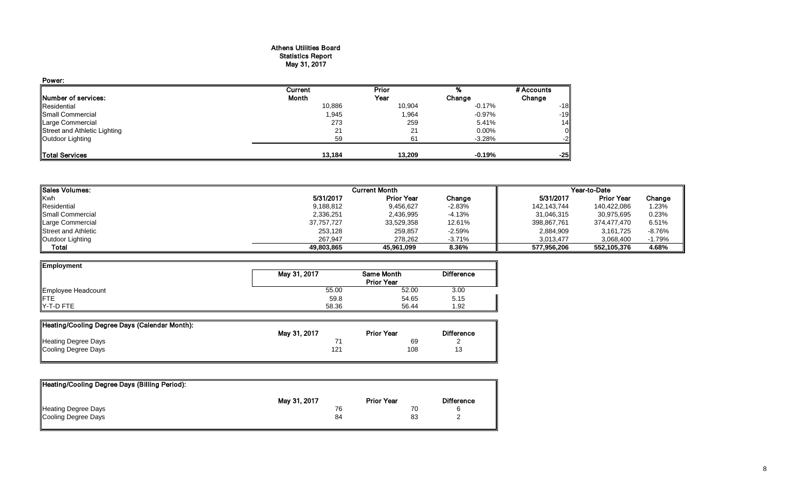#### Athens Utilities Board Statistics Report May 31, 2017

| Power:                       |         |        |          |            |
|------------------------------|---------|--------|----------|------------|
|                              | Current | Prior  |          | # Accounts |
| Number of services:          | Month   | Year   | Change   | Change     |
| Residential                  | 10,886  | 10,904 | $-0.17%$ | $-18$      |
| Small Commercial             | 1,945   | 1,964  | -0.97%   | $-19$      |
| Large Commercial             | 273     | 259    | 5.41%    | 14         |
| Street and Athletic Lighting | 21      | 21     | 0.00%    |            |
| Outdoor Lighting             | 59      | 61     | $-3.28%$ |            |
| <b>Total Services</b>        | 13.184  | 13.209 | $-0.19%$ | $-25$      |

| <b>I</b> Sales Volumes:    |            | <b>Current Month</b> |          | Year-to-Date |                   |          |  |
|----------------------------|------------|----------------------|----------|--------------|-------------------|----------|--|
| Kwh                        | 5/31/2017  | <b>Prior Year</b>    | Change   | 5/31/2017    | <b>Prior Year</b> | Change   |  |
| Residential                | 9,188,812  | 9,456,627            | $-2.83%$ | 142,143,744  | 140,422,086       | 1.23%    |  |
| <b>I</b> Small Commercial  | 2,336,251  | 2,436,995            | $-4.13%$ | 31,046,315   | 30.975.695        | 0.23%    |  |
| Large Commercial           | 37,757,727 | 33,529,358           | 12.61%   | 398,867,761  | 374.477.470       | 6.51%    |  |
| <b>Street and Athletic</b> | 253,128    | 259,857              | $-2.59%$ | 2,884,909    | 3,161,725         | $-8.76%$ |  |
| Outdoor Lighting           | 267.947    | 278.262              | $-3.71%$ | 3.013.477    | 3.068.400         | $-1.79%$ |  |
| Total                      | 49,803,865 | 45.961.099           | 8.36%    | 577.956.206  | 552,105,376       | 4.68%    |  |

| Employment         |              |                                        |                   |
|--------------------|--------------|----------------------------------------|-------------------|
|                    | May 31, 2017 | <b>Same Month</b><br><b>Prior Year</b> | <b>Difference</b> |
| Employee Headcount | 55.00        | 52.00                                  | 3.00              |
| <b>IFTE</b>        | 59.8         | 54.65                                  | 5.15              |
| $Y-T-D$ FTE        | 58.36        | 56.44                                  | 1.92              |

| Heating/Cooling Degree Days (Calendar Month): |              |                   |                   |
|-----------------------------------------------|--------------|-------------------|-------------------|
|                                               | May 31, 2017 | <b>Prior Year</b> | <b>Difference</b> |
| <b>Heating Degree Days</b>                    |              | 69                |                   |
| Cooling Degree Days                           | 12′          | 108               | 13                |

| Heating/Cooling Degree Days (Billing Period): |              |                   |                   |
|-----------------------------------------------|--------------|-------------------|-------------------|
|                                               | May 31, 2017 | <b>Prior Year</b> | <b>Difference</b> |
| <b>Heating Degree Days</b>                    |              | 70                |                   |
| Cooling Degree Days                           | 84           | 83                |                   |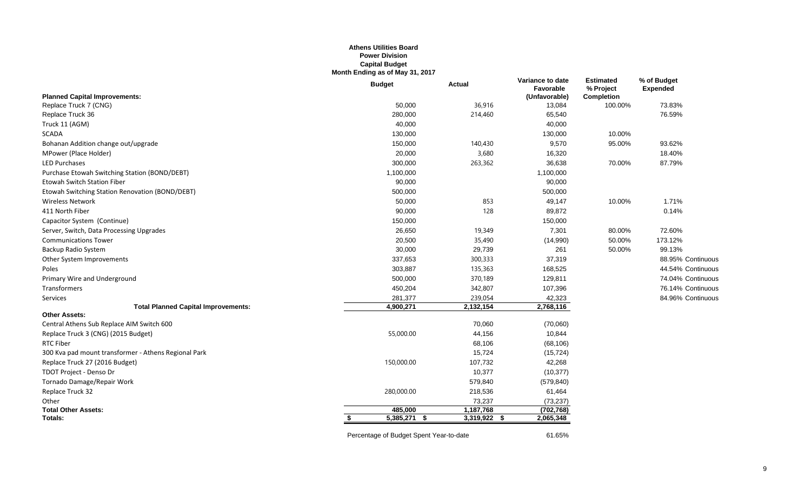#### **Athens Utilities Board Power Division Capital Budget Month Ending as of May 31, 2017**

|                                                      | <b>Budget</b>  | <b>Actual</b>  | Variance to date<br>Favorable | <b>Estimated</b><br>% Project | % of Budget<br><b>Expended</b> |
|------------------------------------------------------|----------------|----------------|-------------------------------|-------------------------------|--------------------------------|
| <b>Planned Capital Improvements:</b>                 |                |                | (Unfavorable)                 | <b>Completion</b>             |                                |
| Replace Truck 7 (CNG)                                | 50,000         | 36,916         | 13,084                        | 100.00%                       | 73.83%                         |
| Replace Truck 36                                     | 280,000        | 214,460        | 65,540                        |                               | 76.59%                         |
| Truck 11 (AGM)                                       | 40,000         |                | 40,000                        |                               |                                |
| <b>SCADA</b>                                         | 130,000        |                | 130,000                       | 10.00%                        |                                |
| Bohanan Addition change out/upgrade                  | 150,000        | 140,430        | 9,570                         | 95.00%                        | 93.62%                         |
| MPower (Place Holder)                                | 20,000         | 3,680          | 16,320                        |                               | 18.40%                         |
| <b>LED Purchases</b>                                 | 300,000        | 263,362        | 36,638                        | 70.00%                        | 87.79%                         |
| Purchase Etowah Switching Station (BOND/DEBT)        | 1,100,000      |                | 1,100,000                     |                               |                                |
| <b>Etowah Switch Station Fiber</b>                   | 90,000         |                | 90,000                        |                               |                                |
| Etowah Switching Station Renovation (BOND/DEBT)      | 500,000        |                | 500,000                       |                               |                                |
| <b>Wireless Network</b>                              | 50,000         | 853            | 49,147                        | 10.00%                        | 1.71%                          |
| 411 North Fiber                                      | 90,000         | 128            | 89,872                        |                               | 0.14%                          |
| Capacitor System (Continue)                          | 150,000        |                | 150,000                       |                               |                                |
| Server, Switch, Data Processing Upgrades             | 26,650         | 19,349         | 7,301                         | 80.00%                        | 72.60%                         |
| <b>Communications Tower</b>                          | 20,500         | 35,490         | (14,990)                      | 50.00%                        | 173.12%                        |
| Backup Radio System                                  | 30,000         | 29,739         | 261                           | 50.00%                        | 99.13%                         |
| Other System Improvements                            | 337,653        | 300,333        | 37,319                        |                               | 88.95% Continuous              |
| Poles                                                | 303,887        | 135,363        | 168,525                       |                               | 44.54% Continuous              |
| Primary Wire and Underground                         | 500,000        | 370,189        | 129,811                       |                               | 74.04% Continuous              |
| Transformers                                         | 450,204        | 342,807        | 107,396                       |                               | 76.14% Continuous              |
| Services                                             | 281,377        | 239,054        | 42,323                        |                               | 84.96% Continuous              |
| <b>Total Planned Capital Improvements:</b>           | 4,900,271      | 2,132,154      | 2,768,116                     |                               |                                |
| <b>Other Assets:</b>                                 |                |                |                               |                               |                                |
| Central Athens Sub Replace AIM Switch 600            |                | 70,060         | (70,060)                      |                               |                                |
| Replace Truck 3 (CNG) (2015 Budget)                  | 55,000.00      | 44,156         | 10,844                        |                               |                                |
| <b>RTC Fiber</b>                                     |                | 68,106         | (68, 106)                     |                               |                                |
| 300 Kva pad mount transformer - Athens Regional Park |                | 15,724         | (15, 724)                     |                               |                                |
| Replace Truck 27 (2016 Budget)                       | 150,000.00     | 107,732        | 42,268                        |                               |                                |
| TDOT Project - Denso Dr                              |                | 10,377         | (10, 377)                     |                               |                                |
| Tornado Damage/Repair Work                           |                | 579,840        | (579, 840)                    |                               |                                |
| Replace Truck 32                                     | 280,000.00     | 218,536        | 61,464                        |                               |                                |
| Other                                                |                | 73,237         | (73, 237)                     |                               |                                |
| <b>Total Other Assets:</b>                           | 485,000        | 1,187,768      | (702, 768)                    |                               |                                |
| Totals:                                              | $5,385,271$ \$ | $3,319,922$ \$ | 2,065,348                     |                               |                                |
|                                                      |                |                |                               |                               |                                |

Percentage of Budget Spent Year-to-date 61.65%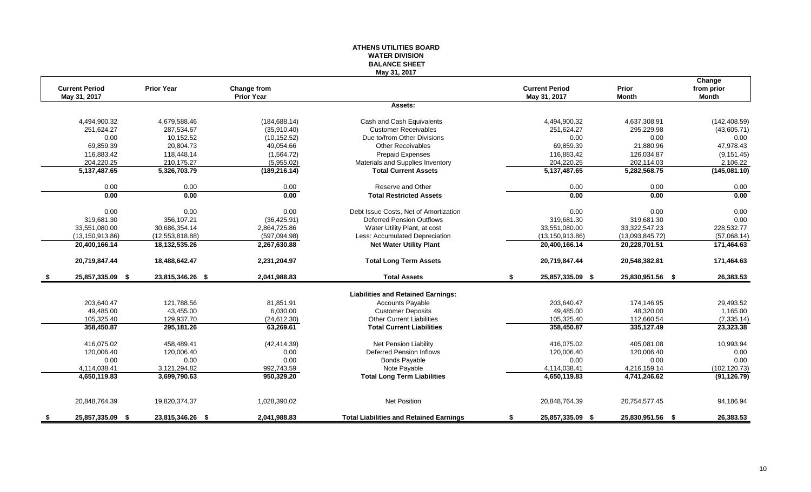#### **ATHENS UTILITIES BOARD WATER DIVISION BALANCE SHEET May 31, 2017**

|      | <b>Current Period</b> | <b>Prior Year</b> | Change from       |                                                | <b>Current Period</b>  | Prior            | Change<br>from prior |
|------|-----------------------|-------------------|-------------------|------------------------------------------------|------------------------|------------------|----------------------|
|      | May 31, 2017          |                   | <b>Prior Year</b> |                                                | May 31, 2017           | <b>Month</b>     | <b>Month</b>         |
|      |                       |                   |                   | Assets:                                        |                        |                  |                      |
|      | 4,494,900.32          | 4,679,588.46      | (184, 688.14)     | Cash and Cash Equivalents                      | 4,494,900.32           | 4,637,308.91     | (142, 408.59)        |
|      | 251,624.27            | 287,534.67        | (35,910.40)       | <b>Customer Receivables</b>                    | 251,624.27             | 295,229.98       | (43,605.71)          |
|      | 0.00                  | 10,152.52         | (10, 152.52)      | Due to/from Other Divisions                    | 0.00                   | 0.00             | 0.00                 |
|      | 69,859.39             | 20,804.73         | 49,054.66         | <b>Other Receivables</b>                       | 69.859.39              | 21.880.96        | 47,978.43            |
|      | 116,883.42            | 118,448.14        | (1,564.72)        | <b>Prepaid Expenses</b>                        | 116,883.42             | 126,034.87       | (9, 151.45)          |
|      | 204,220.25            | 210,175.27        | (5,955.02)        | Materials and Supplies Inventory               | 204,220.25             | 202,114.03       | 2,106.22             |
|      | 5,137,487.65          | 5,326,703.79      | (189, 216.14)     | <b>Total Current Assets</b>                    | 5, 137, 487. 65        | 5,282,568.75     | (145,081.10)         |
|      | 0.00                  | 0.00              | 0.00              | Reserve and Other                              | 0.00                   | 0.00             | 0.00                 |
|      | 0.00                  | 0.00              | 0.00              | <b>Total Restricted Assets</b>                 | 0.00                   | 0.00             | 0.00                 |
|      | 0.00                  | 0.00              | 0.00              | Debt Issue Costs, Net of Amortization          | 0.00                   | 0.00             | 0.00                 |
|      | 319,681.30            | 356,107.21        | (36, 425.91)      | <b>Deferred Pension Outflows</b>               | 319,681.30             | 319,681.30       | 0.00                 |
|      | 33,551,080.00         | 30,686,354.14     | 2,864,725.86      | Water Utility Plant, at cost                   | 33,551,080.00          | 33,322,547.23    | 228,532.77           |
|      | (13, 150, 913.86)     | (12, 553, 818.88) | (597,094.98)      | Less: Accumulated Depreciation                 | (13, 150, 913.86)      | (13,093,845.72)  | (57,068.14)          |
|      | 20,400,166.14         | 18,132,535.26     | 2,267,630.88      | <b>Net Water Utility Plant</b>                 | 20,400,166.14          | 20,228,701.51    | 171,464.63           |
|      | 20,719,847.44         | 18,488,642.47     | 2,231,204.97      | <b>Total Long Term Assets</b>                  | 20,719,847.44          | 20,548,382.81    | 171,464.63           |
| - \$ | 25,857,335.09 \$      | 23,815,346.26 \$  | 2,041,988.83      | <b>Total Assets</b>                            | \$<br>25,857,335.09 \$ | 25,830,951.56 \$ | 26,383.53            |
|      |                       |                   |                   | <b>Liabilities and Retained Earnings:</b>      |                        |                  |                      |
|      | 203,640.47            | 121,788.56        | 81,851.91         | <b>Accounts Payable</b>                        | 203,640.47             | 174,146.95       | 29,493.52            |
|      | 49,485.00             | 43,455.00         | 6,030.00          | <b>Customer Deposits</b>                       | 49,485.00              | 48,320.00        | 1,165.00             |
|      | 105,325.40            | 129,937.70        | (24, 612.30)      | <b>Other Current Liabilities</b>               | 105,325.40             | 112,660.54       | (7, 335.14)          |
|      | 358,450.87            | 295,181.26        | 63,269.61         | <b>Total Current Liabilities</b>               | 358,450.87             | 335,127.49       | 23,323.38            |
|      | 416,075.02            | 458,489.41        | (42, 414.39)      | <b>Net Pension Liability</b>                   | 416,075.02             | 405.081.08       | 10,993.94            |
|      | 120,006.40            | 120.006.40        | 0.00              | Deferred Pension Inflows                       | 120,006.40             | 120.006.40       | 0.00                 |
|      | 0.00                  | 0.00              | 0.00              | <b>Bonds Payable</b>                           | 0.00                   | 0.00             | 0.00                 |
|      | 4,114,038.41          | 3,121,294.82      | 992,743.59        | Note Payable                                   | 4,114,038.41           | 4,216,159.14     | (102, 120.73)        |
|      | 4,650,119.83          | 3,699,790.63      | 950,329.20        | <b>Total Long Term Liabilities</b>             | 4,650,119.83           | 4,741,246.62     | (91, 126.79)         |
|      |                       |                   |                   |                                                |                        |                  |                      |
|      | 20,848,764.39         | 19,820,374.37     | 1,028,390.02      | Net Position                                   | 20,848,764.39          | 20,754,577.45    | 94,186.94            |
| - \$ | 25,857,335.09<br>- \$ | 23,815,346.26 \$  | 2,041,988.83      | <b>Total Liabilities and Retained Earnings</b> | \$<br>25,857,335.09 \$ | 25,830,951.56 \$ | 26,383.53            |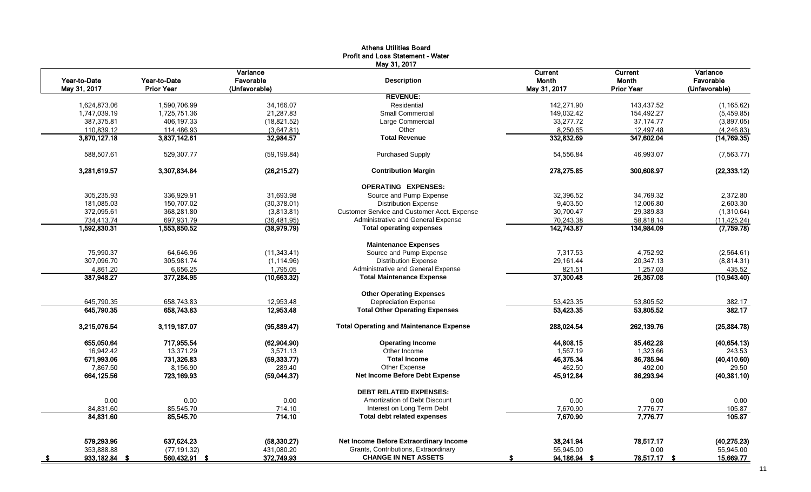|                              |                                   |                                        | May 31, 2017                                                           |                                         |                                              |                                        |
|------------------------------|-----------------------------------|----------------------------------------|------------------------------------------------------------------------|-----------------------------------------|----------------------------------------------|----------------------------------------|
| Year-to-Date<br>May 31, 2017 | Year-to-Date<br><b>Prior Year</b> | Variance<br>Favorable<br>(Unfavorable) | <b>Description</b>                                                     | Current<br><b>Month</b><br>May 31, 2017 | Current<br><b>Month</b><br><b>Prior Year</b> | Variance<br>Favorable<br>(Unfavorable) |
|                              |                                   |                                        | <b>REVENUE:</b>                                                        |                                         |                                              |                                        |
| 1,624,873.06                 | 1,590,706.99                      | 34,166.07                              | Residential                                                            | 142,271.90                              | 143,437.52                                   | (1, 165.62)                            |
| 1,747,039.19                 | 1,725,751.36                      | 21,287.83                              | <b>Small Commercial</b>                                                | 149,032.42                              | 154,492.27                                   | (5,459.85)                             |
| 387,375.81                   | 406,197.33                        | (18, 821.52)                           | Large Commercial                                                       | 33,277.72                               | 37, 174. 77                                  | (3,897.05)                             |
| 110,839.12                   | 114,486.93                        | (3,647.81)                             | Other                                                                  | 8,250.65                                | 12,497.48                                    | (4, 246.83)                            |
| 3,870,127.18                 | 3,837,142.61                      | 32,984.57                              | <b>Total Revenue</b>                                                   | 332,832.69                              | 347,602.04                                   | (14, 769.35)                           |
| 588,507.61                   | 529,307.77                        | (59, 199.84)                           | Purchased Supply                                                       | 54,556.84                               | 46,993.07                                    | (7, 563.77)                            |
| 3,281,619.57                 | 3,307,834.84                      | (26, 215.27)                           | <b>Contribution Margin</b>                                             | 278,275.85                              | 300,608.97                                   | (22, 333.12)                           |
|                              |                                   |                                        | <b>OPERATING EXPENSES:</b>                                             |                                         |                                              |                                        |
| 305,235.93                   | 336,929.91                        | 31,693.98                              | Source and Pump Expense                                                | 32,396.52                               | 34,769.32                                    | 2,372.80                               |
| 181,085.03                   | 150.707.02                        | (30, 378.01)                           | <b>Distribution Expense</b>                                            | 9.403.50                                | 12.006.80                                    | 2,603.30                               |
| 372,095.61                   | 368,281.80                        | (3,813.81)                             | Customer Service and Customer Acct. Expense                            | 30,700.47                               | 29,389.83                                    | (1,310.64)                             |
| 734,413.74                   | 697,931.79                        | (36, 481.95)                           | Administrative and General Expense                                     | 70,243.38                               | 58,818.14                                    | (11, 425.24)                           |
| 1,592,830.31                 | 1,553,850.52                      | (38, 979.79)                           | <b>Total operating expenses</b>                                        | 142,743.87                              | 134,984.09                                   | (7,759.78)                             |
|                              |                                   |                                        | <b>Maintenance Expenses</b>                                            |                                         |                                              |                                        |
| 75.990.37                    | 64.646.96                         | (11, 343.41)                           | Source and Pump Expense                                                | 7.317.53                                | 4.752.92                                     | (2,564.61)                             |
| 307,096.70                   | 305,981.74                        | (1, 114.96)                            | <b>Distribution Expense</b>                                            | 29,161.44                               | 20,347.13                                    | (8,814.31)                             |
| 4,861.20<br>387,948.27       | 6,656.25<br>377,284.95            | 1,795.05<br>(10,663.32)                | Administrative and General Expense<br><b>Total Maintenance Expense</b> | 821.51<br>37,300.48                     | 1,257.03<br>26,357.08                        | 435.52<br>(10,943.40)                  |
|                              |                                   |                                        | <b>Other Operating Expenses</b>                                        |                                         |                                              |                                        |
| 645,790.35                   | 658,743.83                        | 12,953.48                              | <b>Depreciation Expense</b>                                            | 53,423.35                               | 53,805.52                                    | 382.17                                 |
| 645,790.35                   | 658,743.83                        | 12,953.48                              | <b>Total Other Operating Expenses</b>                                  | 53,423.35                               | 53,805.52                                    | 382.17                                 |
| 3,215,076.54                 | 3,119,187.07                      | (95,889.47)                            | <b>Total Operating and Maintenance Expense</b>                         | 288,024.54                              | 262,139.76                                   | (25,884.78)                            |
| 655,050.64                   | 717,955.54                        | (62, 904.90)                           | <b>Operating Income</b>                                                | 44,808.15                               | 85,462.28                                    | (40, 654.13)                           |
| 16,942.42                    | 13,371.29                         | 3,571.13                               | Other Income                                                           | 1,567.19                                | 1,323.66                                     | 243.53                                 |
| 671,993.06                   | 731,326.83                        | (59, 333.77)                           | <b>Total Income</b>                                                    | 46,375.34                               | 86,785.94                                    | (40, 410.60)                           |
| 7,867.50                     | 8,156.90                          | 289.40                                 | Other Expense                                                          | 462.50                                  | 492.00                                       | 29.50                                  |
| 664,125.56                   | 723,169.93                        | (59,044.37)                            | Net Income Before Debt Expense                                         | 45,912.84                               | 86,293.94                                    | (40, 381.10)                           |
|                              |                                   |                                        | <b>DEBT RELATED EXPENSES:</b>                                          |                                         |                                              |                                        |
| 0.00                         | 0.00                              | 0.00                                   | Amortization of Debt Discount                                          | 0.00                                    | 0.00                                         | 0.00                                   |
| 84,831.60                    | 85,545.70                         | 714.10                                 | Interest on Long Term Debt                                             | 7,670.90                                | 7,776.77                                     | 105.87                                 |
| 84,831.60                    | 85,545.70                         | 714.10                                 | <b>Total debt related expenses</b>                                     | 7,670.90                                | 7,776.77                                     | 105.87                                 |
| 579,293.96                   | 637,624.23                        | (58, 330.27)                           | Net Income Before Extraordinary Income                                 | 38,241.94                               | 78,517.17                                    | (40, 275.23)                           |
| 353,888.88                   | (77, 191.32)                      | 431,080.20                             | Grants, Contributions, Extraordinary                                   | 55,945.00                               | 0.00                                         | 55,945.00                              |
| 933,182.84<br>- \$           | 560,432.91 \$                     | 372,749.93                             | <b>CHANGE IN NET ASSETS</b>                                            | 94,186.94<br>- \$                       | 78,517.17 \$                                 | 15,669.77                              |

# Athens Utilities Board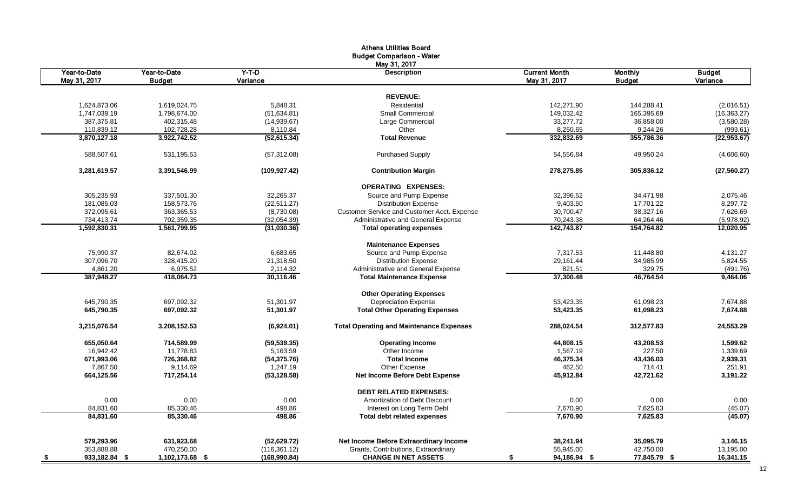|                              |                               |                     | <b>Athens Utilities Board</b><br><b>Budget Comparison - Water</b> |                                      |                                 |                    |
|------------------------------|-------------------------------|---------------------|-------------------------------------------------------------------|--------------------------------------|---------------------------------|--------------------|
|                              |                               |                     | May 31, 2017                                                      |                                      |                                 |                    |
| Year-to-Date<br>May 31, 2017 | Year-to-Date<br><b>Budget</b> | $Y-T-D$<br>Variance | <b>Description</b>                                                | <b>Current Month</b><br>May 31, 2017 | <b>Monthly</b><br><b>Budget</b> | Budget<br>Variance |
|                              |                               |                     |                                                                   |                                      |                                 |                    |
|                              |                               |                     | <b>REVENUE:</b>                                                   |                                      |                                 |                    |
| 1,624,873.06                 | 1,619,024.75                  | 5.848.31            | Residential                                                       | 142,271.90                           | 144,288.41                      | (2,016.51)         |
| 1,747,039.19                 | 1,798,674.00                  | (51, 634.81)        | <b>Small Commercial</b>                                           | 149,032.42                           | 165,395.69                      | (16, 363.27)       |
| 387,375.81                   | 402,315.48                    | (14,939.67)         | Large Commercial                                                  | 33,277.72                            | 36,858.00                       | (3,580.28)         |
| 110,839.12                   | 102,728.28                    | 8,110.84            | Other<br><b>Total Revenue</b>                                     | 8,250.65                             | 9,244.26                        | (993.61)           |
| 3,870,127.18                 | 3,922,742.52                  | (52, 615.34)        |                                                                   | 332,832.69                           | 355,786.36                      | (22, 953.67)       |
| 588.507.61                   | 531.195.53                    | (57, 312.08)        | <b>Purchased Supply</b>                                           | 54,556.84                            | 49.950.24                       | (4,606.60)         |
| 3,281,619.57                 | 3,391,546.99                  | (109, 927.42)       | <b>Contribution Margin</b>                                        | 278,275.85                           | 305,836.12                      | (27, 560.27)       |
|                              |                               |                     | <b>OPERATING EXPENSES:</b>                                        |                                      |                                 |                    |
| 305,235.93                   | 337,501.30                    | 32,265.37           | Source and Pump Expense                                           | 32,396.52                            | 34,471.98                       | 2,075.46           |
| 181,085.03                   | 158,573.76                    | (22, 511.27)        | <b>Distribution Expense</b>                                       | 9,403.50                             | 17,701.22                       | 8,297.72           |
| 372,095.61                   | 363,365.53                    | (8,730.08)          | Customer Service and Customer Acct. Expense                       | 30,700.47                            | 38,327.16                       | 7,626.69           |
| 734,413.74                   | 702,359.35                    | (32,054.39)         | Administrative and General Expense                                | 70,243.38                            | 64,264.46                       | (5,978.92)         |
| 1,592,830.31                 | 1,561,799.95                  | (31,030.36)         | <b>Total operating expenses</b>                                   | 142,743.87                           | 154,764.82                      | 12,020.95          |
|                              |                               |                     | <b>Maintenance Expenses</b>                                       |                                      |                                 |                    |
| 75,990.37                    | 82,674.02                     | 6,683.65            | Source and Pump Expense                                           | 7,317.53                             | 11,448.80                       | 4,131.27           |
| 307,096.70                   | 328,415.20                    | 21,318.50           | <b>Distribution Expense</b>                                       | 29,161.44                            | 34,985.99                       | 5,824.55           |
| 4,861.20                     | 6,975.52                      | 2,114.32            | Administrative and General Expense                                | 821.51                               | 329.75                          | (491.76)           |
| 387,948.27                   | 418,064.73                    | 30,116.46           | <b>Total Maintenance Expense</b>                                  | 37,300.48                            | 46,764.54                       | 9,464.06           |
|                              |                               |                     | <b>Other Operating Expenses</b>                                   |                                      |                                 |                    |
| 645,790.35                   | 697,092.32                    | 51,301.97           | <b>Depreciation Expense</b>                                       | 53,423.35                            | 61,098.23                       | 7,674.88           |
| 645,790.35                   | 697,092.32                    | 51,301.97           | <b>Total Other Operating Expenses</b>                             | 53,423.35                            | 61,098.23                       | 7,674.88           |
| 3,215,076.54                 | 3,208,152.53                  | (6,924.01)          | <b>Total Operating and Maintenance Expenses</b>                   | 288,024.54                           | 312,577.83                      | 24,553.29          |
| 655,050.64                   | 714,589.99                    | (59, 539.35)        | <b>Operating Income</b>                                           | 44,808.15                            | 43,208.53                       | 1,599.62           |
| 16,942.42                    | 11,778.83                     | 5,163.59            | Other Income                                                      | 1,567.19                             | 227.50                          | 1,339.69           |
| 671,993.06                   | 726,368.82                    | (54, 375.76)        | <b>Total Income</b>                                               | 46,375.34                            | 43,436.03                       | 2,939.31           |
| 7,867.50                     | 9,114.69                      | 1,247.19            | Other Expense                                                     | 462.50                               | 714.41                          | 251.91             |
| 664,125.56                   | 717,254.14                    | (53, 128.58)        | <b>Net Income Before Debt Expense</b>                             | 45,912.84                            | 42,721.62                       | 3,191.22           |
|                              |                               |                     | <b>DEBT RELATED EXPENSES:</b>                                     |                                      |                                 |                    |
| 0.00                         | 0.00                          | 0.00                | Amortization of Debt Discount                                     | 0.00                                 | 0.00                            | 0.00               |
| 84,831.60                    | 85,330.46                     | 498.86              | Interest on Long Term Debt                                        | 7,670.90                             | 7,625.83                        | (45.07)            |
| 84,831.60                    | 85,330.46                     | 498.86              | <b>Total debt related expenses</b>                                | 7,670.90                             | 7,625.83                        | (45.07)            |
| 579,293.96                   | 631,923.68                    | (52, 629.72)        | Net Income Before Extraordinary Income                            | 38,241.94                            | 35,095.79                       | 3,146.15           |
| 353,888.88                   | 470,250.00                    | (116, 361.12)       | Grants, Contributions, Extraordinary                              | 55,945.00                            | 42,750.00                       | 13,195.00          |
| 933,182.84 \$                | 1,102,173.68 \$               | (168,990.84)        | <b>CHANGE IN NET ASSETS</b>                                       | 94,186.94 \$<br>\$                   | 77,845.79 \$                    | 16,341.15          |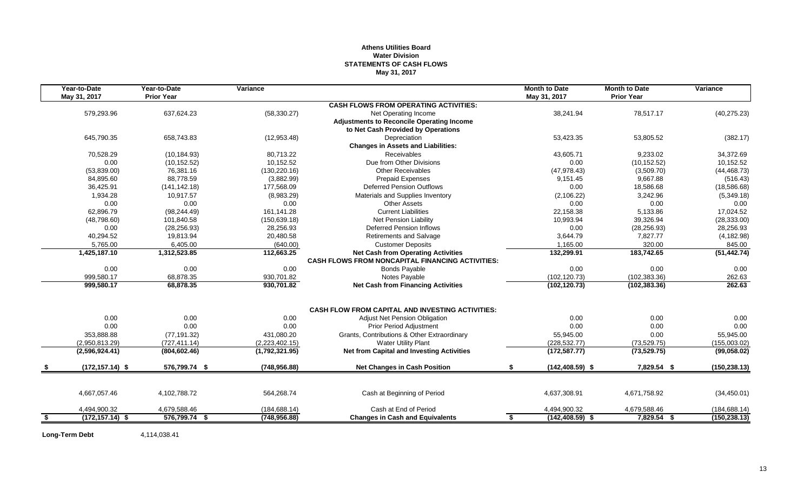#### **Athens Utilities Board Water Division STATEMENTS OF CASH FLOWS May 31, 2017**

|      | Year-to-Date<br>May 31, 2017 | Year-to-Date<br><b>Prior Year</b> | Variance       |                                                                                                      | <b>Month to Date</b><br>May 31, 2017 | <b>Month to Date</b><br><b>Prior Year</b> | Variance      |
|------|------------------------------|-----------------------------------|----------------|------------------------------------------------------------------------------------------------------|--------------------------------------|-------------------------------------------|---------------|
|      |                              |                                   |                | <b>CASH FLOWS FROM OPERATING ACTIVITIES:</b>                                                         |                                      |                                           |               |
|      | 579,293.96                   | 637,624.23                        | (58, 330.27)   | Net Operating Income                                                                                 | 38,241.94                            | 78,517.17                                 | (40, 275.23)  |
|      |                              |                                   |                | <b>Adjustments to Reconcile Operating Income</b>                                                     |                                      |                                           |               |
|      |                              |                                   |                | to Net Cash Provided by Operations                                                                   |                                      |                                           |               |
|      | 645,790.35                   | 658,743.83                        | (12, 953.48)   | Depreciation                                                                                         | 53,423.35                            | 53,805.52                                 | (382.17)      |
|      |                              |                                   |                | <b>Changes in Assets and Liabilities:</b>                                                            |                                      |                                           |               |
|      | 70,528.29                    | (10, 184.93)                      | 80.713.22      | Receivables                                                                                          | 43.605.71                            | 9.233.02                                  | 34,372.69     |
|      | 0.00                         | (10, 152.52)                      | 10,152.52      | Due from Other Divisions                                                                             | 0.00                                 | (10, 152.52)                              | 10,152.52     |
|      | (53,839.00)                  | 76,381.16                         | (130, 220.16)  | <b>Other Receivables</b>                                                                             | (47, 978.43)                         | (3,509.70)                                | (44, 468.73)  |
|      | 84,895.60                    | 88.778.59                         | (3,882.99)     | <b>Prepaid Expenses</b>                                                                              | 9,151.45                             | 9.667.88                                  | (516.43)      |
|      | 36,425.91                    | (141, 142.18)                     | 177,568.09     | <b>Deferred Pension Outflows</b>                                                                     | 0.00                                 | 18,586.68                                 | (18, 586.68)  |
|      | 1,934.28                     | 10.917.57                         | (8,983.29)     | Materials and Supplies Inventory                                                                     | (2, 106.22)                          | 3,242.96                                  | (5,349.18)    |
|      | 0.00                         | 0.00                              | 0.00           | <b>Other Assets</b>                                                                                  | 0.00                                 | 0.00                                      | 0.00          |
|      | 62,896.79                    | (98, 244.49)                      | 161,141.28     | <b>Current Liabilities</b>                                                                           | 22,158.38                            | 5,133.86                                  | 17,024.52     |
|      | (48,798.60)                  | 101,840.58                        | (150, 639.18)  | Net Pension Liability                                                                                | 10,993.94                            | 39,326.94                                 | (28, 333.00)  |
|      | 0.00                         | (28, 256.93)                      | 28,256.93      | <b>Deferred Pension Inflows</b>                                                                      | 0.00                                 | (28, 256.93)                              | 28,256.93     |
|      | 40,294.52                    | 19,813.94                         | 20,480.58      | <b>Retirements and Salvage</b>                                                                       | 3,644.79                             | 7.827.77                                  | (4, 182.98)   |
|      | 5,765.00                     | 6,405.00                          | (640.00)       | <b>Customer Deposits</b>                                                                             | 1,165.00                             | 320.00                                    | 845.00        |
|      | 1,425,187.10                 | 1,312,523.85                      | 112,663.25     | <b>Net Cash from Operating Activities</b><br><b>CASH FLOWS FROM NONCAPITAL FINANCING ACTIVITIES:</b> | 132,299.91                           | 183,742.65                                | (51, 442.74)  |
|      | 0.00                         | 0.00                              | 0.00           | <b>Bonds Payable</b>                                                                                 | 0.00                                 | 0.00                                      | 0.00          |
|      | 999.580.17                   | 68.878.35                         | 930,701.82     | Notes Payable                                                                                        | (102, 120.73)                        | (102, 383.36)                             | 262.63        |
|      | 999,580.17                   | 68,878.35                         | 930,701.82     | <b>Net Cash from Financing Activities</b>                                                            | (102, 120.73)                        | (102, 383.36)                             | 262.63        |
|      |                              |                                   |                |                                                                                                      |                                      |                                           |               |
|      |                              |                                   |                | <b>CASH FLOW FROM CAPITAL AND INVESTING ACTIVITIES:</b>                                              |                                      |                                           |               |
|      | 0.00                         | 0.00                              | 0.00           | <b>Adjust Net Pension Obligation</b>                                                                 | 0.00                                 | 0.00                                      | 0.00          |
|      | 0.00                         | 0.00                              | 0.00           | Prior Period Adjustment                                                                              | 0.00                                 | 0.00                                      | 0.00          |
|      | 353,888.88                   | (77, 191.32)                      | 431,080.20     | Grants, Contributions & Other Extraordinary                                                          | 55,945.00                            | 0.00                                      | 55,945.00     |
|      | (2,950,813.29)               | (727, 411.14)                     | (2,223,402.15) | <b>Water Utility Plant</b>                                                                           | (228, 532.77)                        | (73, 529.75)                              | (155,003.02)  |
|      | (2,596,924.41)               | (804, 602.46)                     | (1,792,321.95) | <b>Net from Capital and Investing Activities</b>                                                     | (172, 587.77)                        | (73, 529.75)                              | (99,058.02)   |
|      | $(172, 157.14)$ \$           | 576,799.74 \$                     | (748, 956.88)  | <b>Net Changes in Cash Position</b>                                                                  | S.<br>$(142, 408.59)$ \$             | 7,829.54 \$                               | (150, 238.13) |
|      |                              |                                   |                |                                                                                                      |                                      |                                           |               |
|      | 4,667,057.46                 | 4,102,788.72                      | 564,268.74     | Cash at Beginning of Period                                                                          | 4,637,308.91                         | 4,671,758.92                              | (34, 450.01)  |
|      | 4,494,900.32                 | 4,679,588.46                      | (184, 688.14)  | Cash at End of Period                                                                                | 4,494,900.32                         | 4,679,588.46                              | (184, 688.14) |
| - \$ | $(172, 157.14)$ \$           | 576,799.74 \$                     | (748, 956.88)  | <b>Changes in Cash and Equivalents</b>                                                               | $(142, 408.59)$ \$<br>\$             | 7,829.54 \$                               | (150, 238.13) |

**Long-Term Debt** 4,114,038.41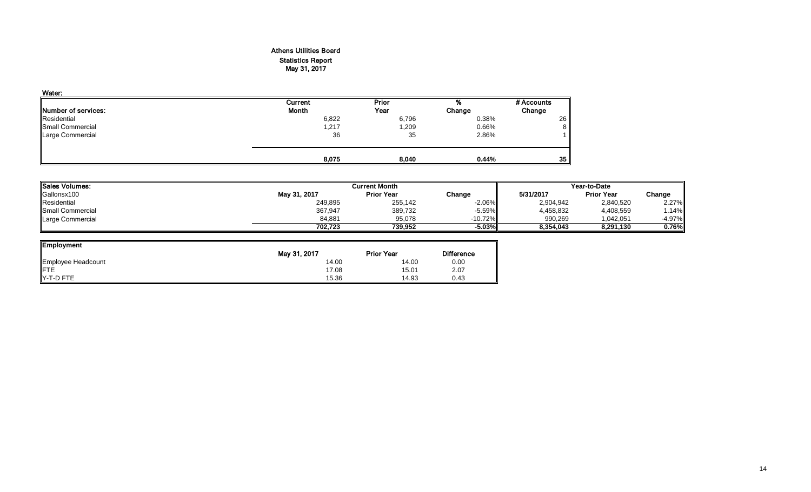#### Athens Utilities Board Statistics Report May 31, 2017

| Water:                      |              |              |        |            |
|-----------------------------|--------------|--------------|--------|------------|
|                             | Current      | <b>Prior</b> | %      | # Accounts |
| <b>INumber of services:</b> | <b>Month</b> | Year         | Change | Change     |
| Residential                 | 6,822        | 6,796        | 0.38%  | 26         |
| <b>Small Commercial</b>     | 1,217        | 1,209        | 0.66%  | 8          |
| <b>Large Commercial</b>     | 36           | 35           | 2.86%  |            |
|                             | 8,075        | 8,040        | 0.44%  | 35         |

| ' Sales Volumes: |              | <b>Current Month</b><br>Year-to-Date |           |           |                   |           |
|------------------|--------------|--------------------------------------|-----------|-----------|-------------------|-----------|
| Gallonsx100      | May 31, 2017 | <b>Prior Year</b>                    | Change    | 5/31/2017 | <b>Prior Year</b> | Change    |
| Residential      | 249,895      | 255,142                              | $-2.06\%$ | 2,904,942 | 2,840,520         | 2.27%     |
| Small Commercial | 367,947      | 389,732                              | $-5.59%$  | 4,458,832 | 4,408,559         | . 14%     |
| Large Commercial | 84.881       | 95.078                               | $-10.72%$ | 990.269   | 1.042.051         | $-4.97\%$ |
|                  | 702.723      | 739.952                              | -5.03%"   | 8.354.043 | 8.291.130         | 0.76%     |

| <b>Employment</b>  |              |                   |                   |
|--------------------|--------------|-------------------|-------------------|
|                    | May 31, 2017 | <b>Prior Year</b> | <b>Difference</b> |
| Employee Headcount | 14.00        | 14.00             | 0.00              |
| <b>IFTE</b>        | 17.08        | 15.01             | 2.07              |
| Y-T-D FTE          | 15.36        | 14.93             | 0.43              |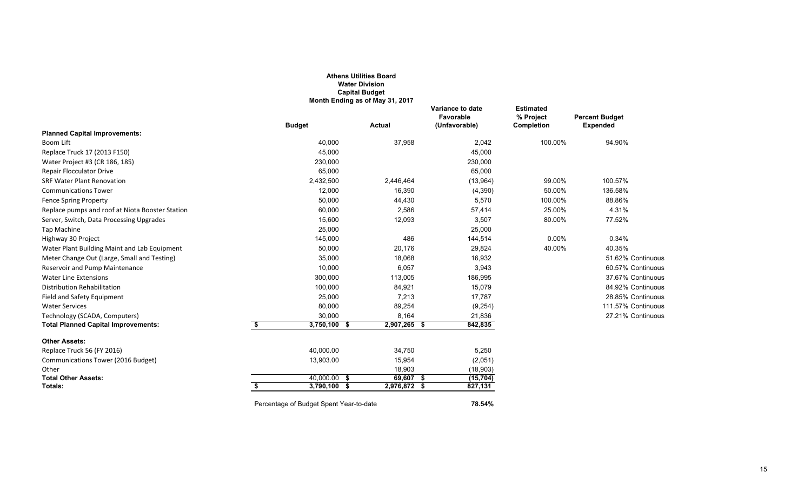|                                                 |                                         | <b>Athens Utilities Board</b><br><b>Water Division</b><br><b>Capital Budget</b><br>Month Ending as of May 31, 2017 |                                                |                                             |                                          |
|-------------------------------------------------|-----------------------------------------|--------------------------------------------------------------------------------------------------------------------|------------------------------------------------|---------------------------------------------|------------------------------------------|
|                                                 | <b>Budget</b>                           | <b>Actual</b>                                                                                                      | Variance to date<br>Favorable<br>(Unfavorable) | <b>Estimated</b><br>% Project<br>Completion | <b>Percent Budget</b><br><b>Expended</b> |
| <b>Planned Capital Improvements:</b>            |                                         |                                                                                                                    |                                                |                                             |                                          |
| Boom Lift                                       | 40,000                                  | 37,958                                                                                                             | 2,042                                          | 100.00%                                     | 94.90%                                   |
| Replace Truck 17 (2013 F150)                    | 45,000                                  |                                                                                                                    | 45,000                                         |                                             |                                          |
| Water Project #3 (CR 186, 185)                  | 230,000                                 |                                                                                                                    | 230,000                                        |                                             |                                          |
| <b>Repair Flocculator Drive</b>                 | 65,000                                  |                                                                                                                    | 65,000                                         |                                             |                                          |
| <b>SRF Water Plant Renovation</b>               | 2,432,500                               | 2,446,464                                                                                                          | (13,964)                                       | 99.00%                                      | 100.57%                                  |
| <b>Communications Tower</b>                     | 12,000                                  | 16,390                                                                                                             | (4, 390)                                       | 50.00%                                      | 136.58%                                  |
| <b>Fence Spring Property</b>                    | 50,000                                  | 44,430                                                                                                             | 5,570                                          | 100.00%                                     | 88.86%                                   |
| Replace pumps and roof at Niota Booster Station | 60,000                                  | 2,586                                                                                                              | 57,414                                         | 25.00%                                      | 4.31%                                    |
| Server, Switch, Data Processing Upgrades        | 15,600                                  | 12,093                                                                                                             | 3,507                                          | 80.00%                                      | 77.52%                                   |
| Tap Machine                                     | 25,000                                  |                                                                                                                    | 25,000                                         |                                             |                                          |
| Highway 30 Project                              | 145,000                                 | 486                                                                                                                | 144,514                                        | 0.00%                                       | 0.34%                                    |
| Water Plant Building Maint and Lab Equipment    | 50,000                                  | 20,176                                                                                                             | 29,824                                         | 40.00%                                      | 40.35%                                   |
| Meter Change Out (Large, Small and Testing)     | 35,000                                  | 18,068                                                                                                             | 16,932                                         |                                             | 51.62% Continuous                        |
| Reservoir and Pump Maintenance                  | 10,000                                  | 6,057                                                                                                              | 3,943                                          |                                             | 60.57% Continuous                        |
| <b>Water Line Extensions</b>                    | 300,000                                 | 113,005                                                                                                            | 186,995                                        |                                             | 37.67% Continuous                        |
| Distribution Rehabilitation                     | 100,000                                 | 84,921                                                                                                             | 15,079                                         |                                             | 84.92% Continuous                        |
| Field and Safety Equipment                      | 25,000                                  | 7,213                                                                                                              | 17,787                                         |                                             | 28.85% Continuous                        |
| <b>Water Services</b>                           | 80,000                                  | 89,254                                                                                                             | (9, 254)                                       |                                             | 111.57% Continuous                       |
| Technology (SCADA, Computers)                   | 30,000                                  | 8,164                                                                                                              | 21,836                                         |                                             | 27.21% Continuous                        |
| <b>Total Planned Capital Improvements:</b>      | \$<br>$3,750,100$ \$                    | 2,907,265 \$                                                                                                       | 842,835                                        |                                             |                                          |
| <b>Other Assets:</b>                            |                                         |                                                                                                                    |                                                |                                             |                                          |
| Replace Truck 56 (FY 2016)                      | 40,000.00                               | 34,750                                                                                                             | 5,250                                          |                                             |                                          |
| Communications Tower (2016 Budget)              | 13,903.00                               | 15,954                                                                                                             | (2,051)                                        |                                             |                                          |
| Other                                           |                                         | 18,903                                                                                                             | (18, 903)                                      |                                             |                                          |
| <b>Total Other Assets:</b>                      | $40,000.00$ \$                          | 69,607 \$                                                                                                          | (15, 704)                                      |                                             |                                          |
| Totals:                                         | \$<br>$3,790,100$ \$                    | 2,976,872 \$                                                                                                       | 827,131                                        |                                             |                                          |
|                                                 | Percentage of Budget Spent Year-to-date |                                                                                                                    | 78.54%                                         |                                             |                                          |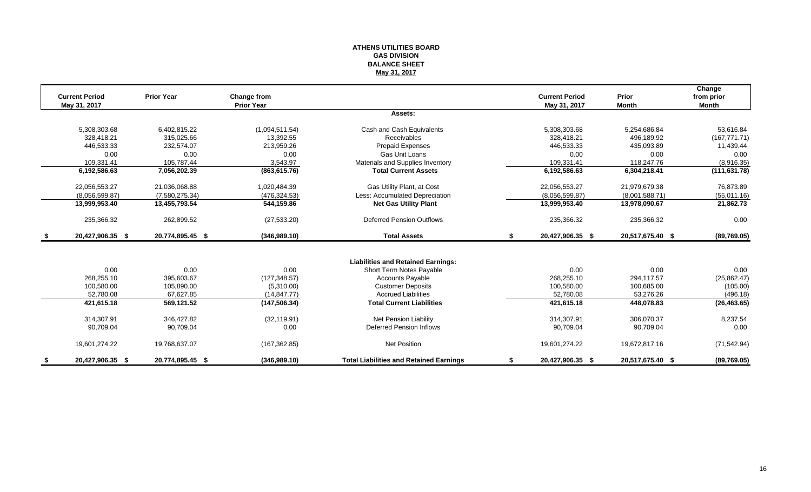#### **ATHENS UTILITIES BOARD GAS DIVISION BALANCE SHEET May 31, 2017**

|      |                       |                   |                   |                                                |    |                       |                  | Change        |
|------|-----------------------|-------------------|-------------------|------------------------------------------------|----|-----------------------|------------------|---------------|
|      | <b>Current Period</b> | <b>Prior Year</b> | Change from       |                                                |    | <b>Current Period</b> | Prior            | from prior    |
|      | May 31, 2017          |                   | <b>Prior Year</b> |                                                |    | May 31, 2017          | <b>Month</b>     | <b>Month</b>  |
|      |                       |                   |                   | Assets:                                        |    |                       |                  |               |
|      | 5,308,303.68          | 6,402,815.22      | (1,094,511.54)    | Cash and Cash Equivalents                      |    | 5,308,303.68          | 5,254,686.84     | 53,616.84     |
|      | 328.418.21            | 315.025.66        | 13.392.55         | Receivables                                    |    | 328.418.21            | 496.189.92       | (167, 771.71) |
|      | 446,533.33            | 232,574.07        | 213.959.26        | <b>Prepaid Expenses</b>                        |    | 446,533.33            | 435.093.89       | 11,439.44     |
|      | 0.00                  | 0.00              | 0.00              | <b>Gas Unit Loans</b>                          |    | 0.00                  | 0.00             | 0.00          |
|      | 109.331.41            | 105,787.44        | 3,543.97          | Materials and Supplies Inventory               |    | 109.331.41            | 118,247.76       | (8,916.35)    |
|      | 6,192,586.63          | 7,056,202.39      | (863, 615.76)     | <b>Total Current Assets</b>                    |    | 6,192,586.63          | 6,304,218.41     | (111, 631.78) |
|      | 22,056,553.27         | 21,036,068.88     | 1,020,484.39      | Gas Utility Plant, at Cost                     |    | 22,056,553.27         | 21,979,679.38    | 76,873.89     |
|      | (8.056, 599.87)       | (7,580,275.34)    | (476, 324.53)     | Less: Accumulated Depreciation                 |    | (8.056, 599.87)       | (8,001,588.71)   | (55,011.16)   |
|      | 13,999,953.40         | 13,455,793.54     | 544,159.86        | <b>Net Gas Utility Plant</b>                   |    | 13,999,953.40         | 13,978,090.67    | 21,862.73     |
|      | 235,366.32            | 262,899.52        | (27, 533.20)      | <b>Deferred Pension Outflows</b>               |    | 235,366.32            | 235,366.32       | 0.00          |
| - \$ | 20,427,906.35 \$      | 20,774,895.45 \$  | (346,989.10)      | <b>Total Assets</b>                            | S. | 20,427,906.35 \$      | 20,517,675.40 \$ | (89,769.05)   |
|      |                       |                   |                   |                                                |    |                       |                  |               |
|      |                       |                   |                   | <b>Liabilities and Retained Earnings:</b>      |    |                       |                  |               |
|      | 0.00                  | 0.00              | 0.00              | Short Term Notes Payable                       |    | 0.00                  | 0.00             | 0.00          |
|      | 268,255.10            | 395,603.67        | (127, 348.57)     | <b>Accounts Payable</b>                        |    | 268,255.10            | 294,117.57       | (25, 862.47)  |
|      | 100,580.00            | 105,890.00        | (5,310.00)        | <b>Customer Deposits</b>                       |    | 100,580.00            | 100,685.00       | (105.00)      |
|      | 52.780.08             | 67,627.85         | (14, 847.77)      | <b>Accrued Liabilities</b>                     |    | 52.780.08             | 53.276.26        | (496.18)      |
|      | 421,615.18            | 569,121.52        | (147, 506.34)     | <b>Total Current Liabilities</b>               |    | 421,615.18            | 448,078.83       | (26, 463.65)  |
|      | 314.307.91            | 346.427.82        | (32, 119.91)      | Net Pension Liability                          |    | 314.307.91            | 306.070.37       | 8,237.54      |
|      | 90,709.04             | 90,709.04         | 0.00              | Deferred Pension Inflows                       |    | 90,709.04             | 90,709.04        | 0.00          |
|      | 19,601,274.22         | 19,768,637.07     | (167, 362.85)     | <b>Net Position</b>                            |    | 19,601,274.22         | 19,672,817.16    | (71, 542.94)  |
|      | 20,427,906.35 \$      | 20,774,895.45 \$  | (346,989.10)      | <b>Total Liabilities and Retained Earnings</b> |    | 20,427,906.35 \$      | 20,517,675.40 \$ | (89,769.05)   |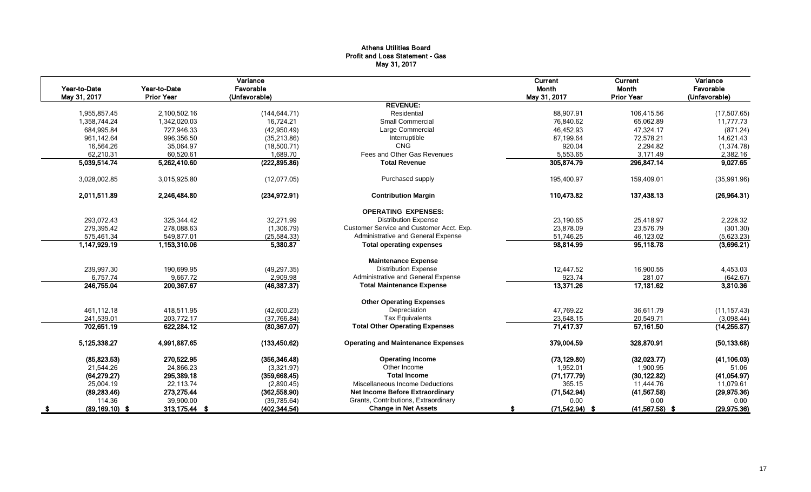#### Athens Utilities Board Profit and Loss Statement - Gas May 31, 2017

| Year-to-Date<br>May 31, 2017 | Year-to-Date<br><b>Prior Year</b> | Variance<br>Favorable<br>(Unfavorable) |                                           | Current<br>Month<br>May 31, 2017 | Current<br>Month<br><b>Prior Year</b> | Variance<br>Favorable<br>(Unfavorable) |
|------------------------------|-----------------------------------|----------------------------------------|-------------------------------------------|----------------------------------|---------------------------------------|----------------------------------------|
|                              |                                   |                                        | <b>REVENUE:</b>                           |                                  |                                       |                                        |
| 1.955.857.45                 | 2,100,502.16                      | (144.644.71)                           | Residential                               | 88.907.91                        | 106.415.56                            | (17, 507.65)                           |
| 1,358,744.24                 | 1,342,020.03                      | 16,724.21                              | <b>Small Commercial</b>                   | 76,840.62                        | 65,062.89                             | 11,777.73                              |
| 684,995.84                   | 727,946.33                        | (42,950.49)                            | Large Commercial                          | 46,452.93                        | 47,324.17                             | (871.24)                               |
| 961,142.64                   | 996,356.50                        | (35, 213.86)                           | Interruptible                             | 87,199.64                        | 72,578.21                             | 14,621.43                              |
| 16,564.26                    | 35,064.97                         | (18,500.71)                            | <b>CNG</b>                                | 920.04                           | 2,294.82                              | (1, 374.78)                            |
| 62,210.31                    | 60,520.61                         | 1,689.70                               | Fees and Other Gas Revenues               | 5,553.65                         | 3,171.49                              | 2,382.16                               |
| 5,039,514.74                 | 5,262,410.60                      | (222, 895.86)                          | <b>Total Revenue</b>                      | 305,874.79                       | 296,847.14                            | 9,027.65                               |
| 3,028,002.85                 | 3,015,925.80                      | (12,077.05)                            | Purchased supply                          | 195,400.97                       | 159,409.01                            | (35,991.96)                            |
| 2,011,511.89                 | 2,246,484.80                      | (234, 972.91)                          | <b>Contribution Margin</b>                | 110,473.82                       | 137,438.13                            | (26,964.31)                            |
|                              |                                   |                                        | <b>OPERATING EXPENSES:</b>                |                                  |                                       |                                        |
| 293,072.43                   | 325,344.42                        | 32,271.99                              | <b>Distribution Expense</b>               | 23,190.65                        | 25,418.97                             | 2,228.32                               |
| 279,395.42                   | 278,088.63                        | (1,306.79)                             | Customer Service and Customer Acct. Exp.  | 23,878.09                        | 23,576.79                             | (301.30)                               |
| 575,461.34                   | 549,877.01                        | (25, 584.33)                           | Administrative and General Expense        | 51,746.25                        | 46,123.02                             | (5,623.23)                             |
| 1,147,929.19                 | 1,153,310.06                      | 5,380.87                               | <b>Total operating expenses</b>           | 98,814.99                        | 95,118.78                             | (3,696.21)                             |
|                              |                                   |                                        | <b>Maintenance Expense</b>                |                                  |                                       |                                        |
| 239,997.30                   | 190,699.95                        | (49, 297.35)                           | <b>Distribution Expense</b>               | 12,447.52                        | 16,900.55                             | 4,453.03                               |
| 6,757.74                     | 9,667.72                          | 2,909.98                               | Administrative and General Expense        | 923.74                           | 281.07                                | (642.67)                               |
| 246,755.04                   | 200,367.67                        | (46, 387.37)                           | <b>Total Maintenance Expense</b>          | 13,371.26                        | 17,181.62                             | 3,810.36                               |
|                              |                                   |                                        | <b>Other Operating Expenses</b>           |                                  |                                       |                                        |
| 461,112.18                   | 418,511.95                        | (42,600.23)                            | Depreciation                              | 47,769.22                        | 36,611.79                             | (11, 157.43)                           |
| 241,539.01                   | 203,772.17                        | (37,766.84)                            | <b>Tax Equivalents</b>                    | 23,648.15                        | 20,549.71                             | (3,098.44)                             |
| 702,651.19                   | 622,284.12                        | (80, 367.07)                           | <b>Total Other Operating Expenses</b>     | 71,417.37                        | 57,161.50                             | (14, 255.87)                           |
| 5,125,338.27                 | 4,991,887.65                      | (133, 450.62)                          | <b>Operating and Maintenance Expenses</b> | 379,004.59                       | 328,870.91                            | (50, 133.68)                           |
| (85, 823.53)                 | 270.522.95                        | (356, 346.48)                          | <b>Operating Income</b>                   | (73, 129.80)                     | (32,023.77)                           | (41, 106.03)                           |
| 21,544.26                    | 24,866.23                         | (3,321.97)                             | Other Income                              | 1,952.01                         | 1,900.95                              | 51.06                                  |
| (64, 279.27)                 | 295,389.18                        | (359, 668.45)                          | <b>Total Income</b>                       | (71, 177.79)                     | (30, 122.82)                          | (41,054.97)                            |
| 25,004.19                    | 22,113.74                         | (2,890.45)                             | Miscellaneous Income Deductions           | 365.15                           | 11,444.76                             | 11,079.61                              |
| (89, 283.46)                 | 273,275.44                        | (362, 558.90)                          | <b>Net Income Before Extraordinary</b>    | (71, 542.94)                     | (41, 567.58)                          | (29, 975.36)                           |
| 114.36                       | 39,900.00                         | (39, 785.64)                           | Grants, Contributions, Extraordinary      | 0.00                             | 0.00                                  | 0.00                                   |
| $(89, 169.10)$ \$            | 313,175.44 \$                     | (402, 344.54)                          | <b>Change in Net Assets</b>               | $(71,542.94)$ \$                 | $(41,567.58)$ \$                      | (29, 975.36)                           |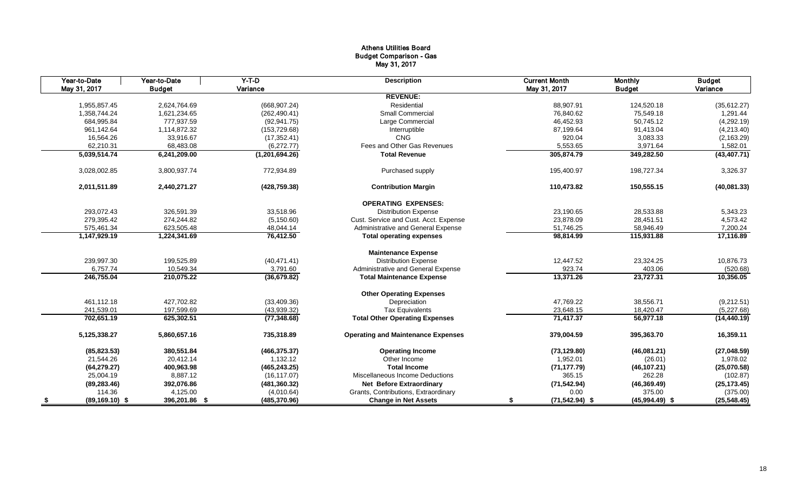#### Athens Utilities Board Budget Comparison - Gas May 31, 2017

|      | Year-to-Date      | Year-to-Date  | $Y-T-D$          | <b>Description</b>                        | <b>Current Month</b>   | <b>Monthly</b>   | <b>Budget</b> |
|------|-------------------|---------------|------------------|-------------------------------------------|------------------------|------------------|---------------|
|      | May 31, 2017      | <b>Budget</b> | Variance         |                                           | May 31, 2017           | <b>Budget</b>    | Variance      |
|      |                   |               |                  | <b>REVENUE:</b>                           |                        |                  |               |
|      | 1,955,857.45      | 2,624,764.69  | (668, 907.24)    | Residential                               | 88,907.91              | 124,520.18       | (35, 612.27)  |
|      | 1,358,744.24      | 1,621,234.65  | (262, 490.41)    | Small Commercial                          | 76,840.62              | 75,549.18        | 1,291.44      |
|      | 684,995.84        | 777,937.59    | (92, 941.75)     | Large Commercial                          | 46,452.93              | 50,745.12        | (4,292.19)    |
|      | 961,142.64        | 1,114,872.32  | (153, 729.68)    | Interruptible                             | 87,199.64              | 91,413.04        | (4,213.40)    |
|      | 16,564.26         | 33,916.67     | (17, 352.41)     | <b>CNG</b>                                | 920.04                 | 3,083.33         | (2, 163.29)   |
|      | 62,210.31         | 68,483.08     | (6,272.77)       | Fees and Other Gas Revenues               | 5,553.65               | 3,971.64         | 1,582.01      |
|      | 5,039,514.74      | 6,241,209.00  | (1, 201, 694.26) | <b>Total Revenue</b>                      | 305,874.79             | 349,282.50       | (43, 407.71)  |
|      | 3,028,002.85      | 3,800,937.74  | 772,934.89       | Purchased supply                          | 195,400.97             | 198,727.34       | 3,326.37      |
|      | 2,011,511.89      | 2,440,271.27  | (428, 759.38)    | <b>Contribution Margin</b>                | 110,473.82             | 150,555.15       | (40,081.33)   |
|      |                   |               |                  | <b>OPERATING EXPENSES:</b>                |                        |                  |               |
|      | 293,072.43        | 326,591.39    | 33,518.96        | <b>Distribution Expense</b>               | 23,190.65              | 28,533.88        | 5,343.23      |
|      | 279,395.42        | 274,244.82    | (5, 150.60)      | Cust. Service and Cust. Acct. Expense     | 23,878.09              | 28.451.51        | 4,573.42      |
|      | 575,461.34        | 623,505.48    | 48,044.14        | Administrative and General Expense        | 51,746.25              | 58,946.49        | 7,200.24      |
|      | 1,147,929.19      | 1,224,341.69  | 76,412.50        | <b>Total operating expenses</b>           | 98,814.99              | 115,931.88       | 17,116.89     |
|      |                   |               |                  | <b>Maintenance Expense</b>                |                        |                  |               |
|      | 239,997.30        | 199,525.89    | (40, 471.41)     | <b>Distribution Expense</b>               | 12,447.52              | 23,324.25        | 10,876.73     |
|      | 6,757.74          | 10,549.34     | 3,791.60         | Administrative and General Expense        | 923.74                 | 403.06           | (520.68)      |
|      | 246,755.04        | 210,075.22    | (36, 679.82)     | <b>Total Maintenance Expense</b>          | 13,371.26              | 23,727.31        | 10,356.05     |
|      |                   |               |                  | <b>Other Operating Expenses</b>           |                        |                  |               |
|      | 461,112.18        | 427,702.82    | (33, 409.36)     | Depreciation                              | 47,769.22              | 38,556.71        | (9,212.51)    |
|      | 241,539.01        | 197,599.69    | (43,939.32)      | <b>Tax Equivalents</b>                    | 23,648.15              | 18,420.47        | (5,227.68)    |
|      | 702,651.19        | 625,302.51    | (77, 348.68)     | <b>Total Other Operating Expenses</b>     | 71,417.37              | 56,977.18        | (14, 440.19)  |
|      | 5,125,338.27      | 5,860,657.16  | 735,318.89       | <b>Operating and Maintenance Expenses</b> | 379,004.59             | 395,363.70       | 16,359.11     |
|      | (85, 823.53)      | 380,551.84    | (466, 375.37)    | <b>Operating Income</b>                   | (73, 129.80)           | (46,081.21)      | (27, 048.59)  |
|      | 21,544.26         | 20,412.14     | 1,132.12         | Other Income                              | 1,952.01               | (26.01)          | 1,978.02      |
|      | (64, 279.27)      | 400,963.98    | (465, 243.25)    | <b>Total Income</b>                       | (71, 177.79)           | (46, 107.21)     | (25,070.58)   |
|      | 25,004.19         | 8,887.12      | (16, 117.07)     | Miscellaneous Income Deductions           | 365.15                 | 262.28           | (102.87)      |
|      | (89, 283.46)      | 392,076.86    | (481, 360.32)    | <b>Net Before Extraordinary</b>           | (71, 542.94)           | (46, 369.49)     | (25, 173.45)  |
|      | 114.36            | 4,125.00      | (4,010.64)       | Grants, Contributions, Extraordinary      | 0.00                   | 375.00           | (375.00)      |
| - \$ | $(89, 169.10)$ \$ | 396,201.86 \$ | (485, 370.96)    | <b>Change in Net Assets</b>               | $(71,542.94)$ \$<br>\$ | $(45,994.49)$ \$ | (25, 548.45)  |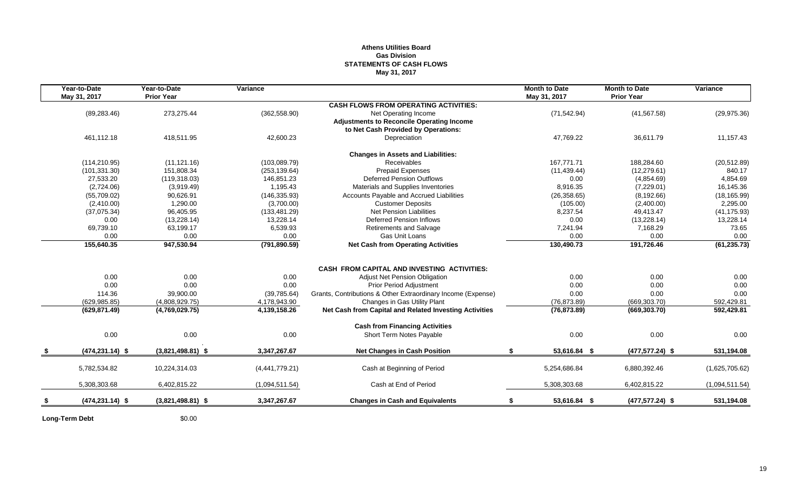#### **Athens Utilities Board Gas Division STATEMENTS OF CASH FLOWS May 31, 2017**

| Year-to-Date<br>May 31, 2017 | Year-to-Date<br><b>Prior Year</b> | Variance       |                                                              | <b>Month to Date</b><br>May 31, 2017 | <b>Month to Date</b><br><b>Prior Year</b> | Variance       |
|------------------------------|-----------------------------------|----------------|--------------------------------------------------------------|--------------------------------------|-------------------------------------------|----------------|
|                              |                                   |                | <b>CASH FLOWS FROM OPERATING ACTIVITIES:</b>                 |                                      |                                           |                |
| (89, 283.46)                 | 273,275.44                        | (362, 558.90)  | Net Operating Income                                         | (71, 542.94)                         | (41, 567.58)                              | (29, 975.36)   |
|                              |                                   |                | <b>Adjustments to Reconcile Operating Income</b>             |                                      |                                           |                |
|                              |                                   |                | to Net Cash Provided by Operations:                          |                                      |                                           |                |
| 461,112.18                   | 418,511.95                        | 42,600.23      | Depreciation                                                 | 47,769.22                            | 36,611.79                                 | 11,157.43      |
|                              |                                   |                | <b>Changes in Assets and Liabilities:</b>                    |                                      |                                           |                |
| (114, 210.95)                | (11, 121.16)                      | (103,089.79)   | Receivables                                                  | 167,771.71                           | 188,284.60                                | (20, 512.89)   |
| (101, 331.30)                | 151,808.34                        | (253, 139.64)  | <b>Prepaid Expenses</b>                                      | (11, 439.44)                         | (12, 279.61)                              | 840.17         |
| 27,533.20                    | (119, 318.03)                     | 146,851.23     | <b>Deferred Pension Outflows</b>                             | 0.00                                 | (4,854.69)                                | 4,854.69       |
| (2,724.06)                   | (3,919.49)                        | 1,195.43       | Materials and Supplies Inventories                           | 8,916.35                             | (7,229.01)                                | 16,145.36      |
| (55,709.02)                  | 90,626.91                         | (146, 335.93)  | Accounts Payable and Accrued Liabilities                     | (26, 358.65)                         | (8, 192.66)                               | (18, 165.99)   |
| (2,410.00)                   | 1,290.00                          | (3,700.00)     | <b>Customer Deposits</b>                                     | (105.00)                             | (2,400.00)                                | 2,295.00       |
| (37,075.34)                  | 96,405.95                         | (133, 481.29)  | Net Pension Liabilities                                      | 8,237.54                             | 49,413.47                                 | (41, 175.93)   |
| 0.00                         | (13,228.14)                       | 13,228.14      | Deferred Pension Inflows                                     | 0.00                                 | (13, 228.14)                              | 13,228.14      |
| 69,739.10                    | 63,199.17                         | 6,539.93       | Retirements and Salvage                                      | 7,241.94                             | 7,168.29                                  | 73.65          |
| 0.00                         | 0.00                              | 0.00           | Gas Unit Loans                                               | 0.00                                 | 0.00                                      | 0.00           |
| 155,640.35                   | 947,530.94                        | (791, 890.59)  | <b>Net Cash from Operating Activities</b>                    | 130,490.73                           | 191,726.46                                | (61, 235.73)   |
|                              |                                   |                |                                                              |                                      |                                           |                |
|                              |                                   |                | <b>CASH FROM CAPITAL AND INVESTING ACTIVITIES:</b>           |                                      |                                           |                |
| 0.00                         | 0.00                              | 0.00           | <b>Adjust Net Pension Obligation</b>                         | 0.00                                 | 0.00                                      | 0.00           |
| 0.00                         | 0.00                              | 0.00           | <b>Prior Period Adjustment</b>                               | 0.00                                 | 0.00                                      | 0.00           |
| 114.36                       | 39,900.00                         | (39, 785.64)   | Grants, Contributions & Other Extraordinary Income (Expense) | 0.00                                 | 0.00                                      | 0.00           |
| (629, 985.85)                | (4,808,929.75)                    | 4,178,943.90   | Changes in Gas Utility Plant                                 | (76, 873.89)                         | (669, 303.70)                             | 592,429.81     |
| (629, 871.49)                | (4,769,029.75)                    | 4,139,158.26   | Net Cash from Capital and Related Investing Activities       | (76, 873.89)                         | (669, 303.70)                             | 592,429.81     |
|                              |                                   |                | <b>Cash from Financing Activities</b>                        |                                      |                                           |                |
| 0.00                         | 0.00                              | 0.00           | Short Term Notes Payable                                     | 0.00                                 | 0.00                                      | 0.00           |
| $(474, 231.14)$ \$           | $(3,821,498.81)$ \$               | 3,347,267.67   | <b>Net Changes in Cash Position</b>                          | S.<br>53,616.84 \$                   | $(477, 577.24)$ \$                        | 531,194.08     |
| 5,782,534.82                 | 10,224,314.03                     | (4,441,779.21) | Cash at Beginning of Period                                  | 5,254,686.84                         | 6,880,392.46                              | (1,625,705.62) |
| 5,308,303.68                 | 6,402,815.22                      | (1,094,511.54) | Cash at End of Period                                        | 5,308,303.68                         | 6,402,815.22                              | (1,094,511.54) |
|                              |                                   |                |                                                              |                                      |                                           |                |
| $(474, 231.14)$ \$           | $(3,821,498.81)$ \$               | 3.347.267.67   | <b>Changes in Cash and Equivalents</b>                       | 53,616.84 \$<br>\$                   | $(477, 577.24)$ \$                        | 531,194.08     |
|                              |                                   |                |                                                              |                                      |                                           |                |

**Long-Term Debt** \$0.00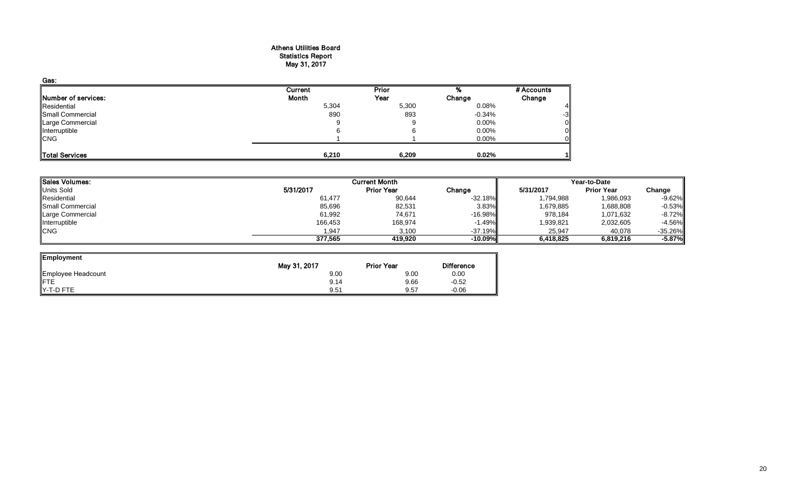#### Athens Utilities Board Statistics Report May 31, 2017

| Gas:                |         |       |          |            |
|---------------------|---------|-------|----------|------------|
|                     | Current | Prior |          | # Accounts |
| Number of services: | Month   | Year  | Change   | Change     |
| Residential         | 5,304   | 5,300 | 0.08%    |            |
| Small Commercial    | 890     | 893   | $-0.34%$ | -3         |
| Large Commercial    | 9       |       | $0.00\%$ |            |
| Interruptible       |         |       | 0.00%    |            |
| <b>CNG</b>          |         |       | 0.00%    |            |
|                     |         |       |          |            |
| Total Services      | 6,210   | 6,209 | 0.02%    |            |

| <b>Sales Volumes:</b> |           | <b>Current Month</b> |           |           | Year-to-Date      |           |  |
|-----------------------|-----------|----------------------|-----------|-----------|-------------------|-----------|--|
| <b>Units Sold</b>     | 5/31/2017 | <b>Prior Year</b>    | Change    | 5/31/2017 | <b>Prior Year</b> | Change    |  |
| Residential           | 61,477    | 90,644               | $-32.18%$ | 1,794,988 | 1,986,093         | $-9.62\%$ |  |
| Small Commercial      | 85,696    | 82,531               | 3.83%     | 1,679,885 | 1,688,808         | $-0.53\%$ |  |
| Large Commercial      | 61,992    | 74,671               | $-16.98%$ | 978,184   | 1,071,632         | $-8.72\%$ |  |
| Interruptible         | 166,453   | 168,974              | $-1.49\%$ | 1,939,821 | 2,032,605         | $-4.56\%$ |  |
| <b>CNG</b>            | 1.947     | 3.100                | $-37.19%$ | 25,947    | 40.078            | $-35.26%$ |  |
|                       | 377.565   | 419.920              | $-10.09%$ | 6,418,825 | 6,819,216         | -5.87%    |  |

| Employment         |              |                   |                   |
|--------------------|--------------|-------------------|-------------------|
|                    | May 31, 2017 | <b>Prior Year</b> | <b>Difference</b> |
| Employee Headcount | 9.00         | 9.00              | 0.00              |
|                    | 9.14         | 9.66              | $-0.52$           |
| Y-T-D FTE          | 9.51         | 9.57              | $-0.06$           |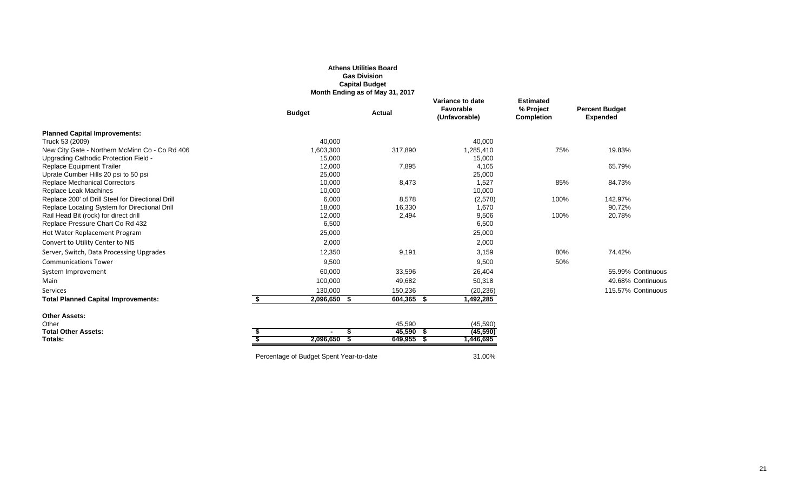|                                                                                                    |                                         | <b>Gas Division</b><br><b>Capital Budget</b><br>Month Ending as of May 31, 2017 |                                                |                                                    |                                          |
|----------------------------------------------------------------------------------------------------|-----------------------------------------|---------------------------------------------------------------------------------|------------------------------------------------|----------------------------------------------------|------------------------------------------|
|                                                                                                    | <b>Budget</b>                           | <b>Actual</b>                                                                   | Variance to date<br>Favorable<br>(Unfavorable) | <b>Estimated</b><br>% Project<br><b>Completion</b> | <b>Percent Budget</b><br><b>Expended</b> |
| <b>Planned Capital Improvements:</b>                                                               |                                         |                                                                                 |                                                |                                                    |                                          |
| Truck 53 (2009)                                                                                    | 40,000                                  |                                                                                 | 40,000                                         |                                                    |                                          |
| New City Gate - Northern McMinn Co - Co Rd 406                                                     | 1,603,300                               | 317,890                                                                         | 1,285,410                                      | 75%                                                | 19.83%                                   |
| Upgrading Cathodic Protection Field -                                                              | 15,000                                  |                                                                                 | 15,000                                         |                                                    |                                          |
| <b>Replace Equipment Trailer</b>                                                                   | 12,000                                  | 7,895                                                                           | 4,105                                          |                                                    | 65.79%                                   |
| Uprate Cumber Hills 20 psi to 50 psi                                                               | 25,000                                  |                                                                                 | 25,000                                         |                                                    |                                          |
| <b>Replace Mechanical Correctors</b>                                                               | 10,000                                  | 8,473                                                                           | 1,527                                          | 85%                                                | 84.73%                                   |
| Replace Leak Machines                                                                              | 10,000                                  |                                                                                 | 10,000                                         |                                                    |                                          |
| Replace 200' of Drill Steel for Directional Drill<br>Replace Locating System for Directional Drill | 6,000<br>18,000                         | 8,578<br>16,330                                                                 | (2,578)<br>1,670                               | 100%                                               | 142.97%<br>90.72%                        |
| Rail Head Bit (rock) for direct drill                                                              | 12,000                                  | 2,494                                                                           | 9,506                                          | 100%                                               | 20.78%                                   |
| Replace Pressure Chart Co Rd 432                                                                   | 6,500                                   |                                                                                 | 6,500                                          |                                                    |                                          |
| Hot Water Replacement Program                                                                      | 25,000                                  |                                                                                 | 25,000                                         |                                                    |                                          |
| Convert to Utility Center to NIS                                                                   | 2,000                                   |                                                                                 | 2,000                                          |                                                    |                                          |
| Server, Switch, Data Processing Upgrades                                                           | 12,350                                  | 9,191                                                                           | 3,159                                          | 80%                                                | 74.42%                                   |
| <b>Communications Tower</b>                                                                        | 9,500                                   |                                                                                 | 9,500                                          | 50%                                                |                                          |
| System Improvement                                                                                 | 60,000                                  | 33,596                                                                          | 26,404                                         |                                                    | 55.99% Continuous                        |
| Main                                                                                               | 100,000                                 | 49,682                                                                          | 50,318                                         |                                                    | 49.68% Continuous                        |
| Services                                                                                           | 130.000                                 | 150,236                                                                         | (20, 236)                                      |                                                    | 115.57% Continuous                       |
| <b>Total Planned Capital Improvements:</b>                                                         | 2,096,650 \$<br>\$                      | 604,365 \$                                                                      | 1,492,285                                      |                                                    |                                          |
| <b>Other Assets:</b>                                                                               |                                         |                                                                                 |                                                |                                                    |                                          |
| Other                                                                                              |                                         | 45,590                                                                          | (45, 590)                                      |                                                    |                                          |
| <b>Total Other Assets:</b>                                                                         |                                         | $45,590$ \$<br>\$                                                               | (45,590)                                       |                                                    |                                          |
| Totals:                                                                                            | - S<br>$2,096,650$ \$                   | $649,955$ \$                                                                    | 1,446,695                                      |                                                    |                                          |
|                                                                                                    | Percentage of Budget Spent Year-to-date |                                                                                 | 31.00%                                         |                                                    |                                          |

**Athens Utilities Board**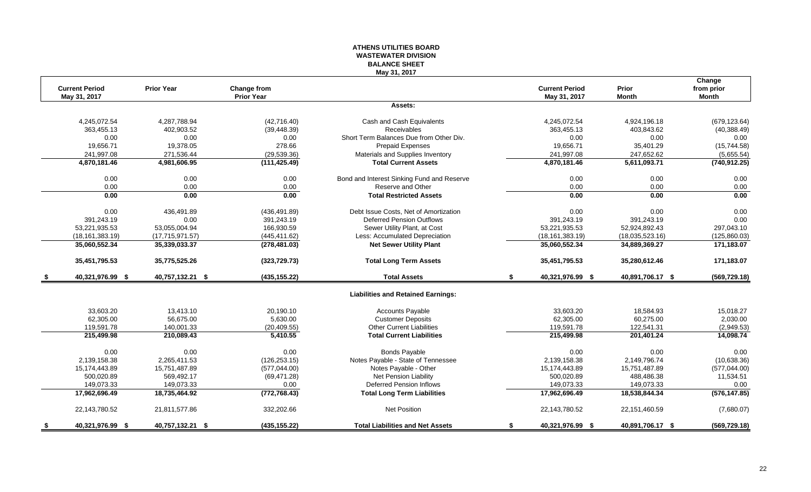#### **ATHENS UTILITIES BOARD WASTEWATER DIVISION BALANCE SHEET May 31, 2017**

|      | <b>Current Period</b> | <b>Prior Year</b> | Change from       |                                            | <b>Current Period</b>  | <b>Prior</b>     | Change<br>from prior |
|------|-----------------------|-------------------|-------------------|--------------------------------------------|------------------------|------------------|----------------------|
|      | May 31, 2017          |                   | <b>Prior Year</b> |                                            | May 31, 2017           | <b>Month</b>     | <b>Month</b>         |
|      |                       |                   |                   | Assets:                                    |                        |                  |                      |
|      | 4,245,072.54          | 4,287,788.94      | (42,716.40)       | Cash and Cash Equivalents                  | 4,245,072.54           | 4,924,196.18     | (679, 123.64)        |
|      | 363,455.13            | 402,903.52        | (39, 448.39)      | Receivables                                | 363,455.13             | 403,843.62       | (40, 388.49)         |
|      | 0.00                  | 0.00              | 0.00              | Short Term Balances Due from Other Div.    | 0.00                   | 0.00             | 0.00                 |
|      | 19,656.71             | 19,378.05         | 278.66            | Prepaid Expenses                           | 19,656.71              | 35,401.29        | (15,744.58)          |
|      | 241,997.08            | 271,536.44        | (29, 539.36)      | Materials and Supplies Inventory           | 241,997.08             | 247,652.62       | (5,655.54)           |
|      | 4,870,181.46          | 4,981,606.95      | (111, 425.49)     | <b>Total Current Assets</b>                | 4,870,181.46           | 5,611,093.71     | (740, 912.25)        |
|      | 0.00                  | 0.00              | 0.00              | Bond and Interest Sinking Fund and Reserve | 0.00                   | 0.00             | 0.00                 |
|      | 0.00                  | 0.00              | 0.00              | Reserve and Other                          | 0.00                   | 0.00             | 0.00                 |
|      | 0.00                  | 0.00              | 0.00              | <b>Total Restricted Assets</b>             | 0.00                   | 0.00             | 0.00                 |
|      | 0.00                  | 436,491.89        | (436, 491.89)     | Debt Issue Costs, Net of Amortization      | 0.00                   | 0.00             | 0.00                 |
|      | 391,243.19            | 0.00              | 391,243.19        | <b>Deferred Pension Outflows</b>           | 391,243.19             | 391,243.19       | 0.00                 |
|      | 53,221,935.53         | 53,055,004.94     | 166,930.59        | Sewer Utility Plant, at Cost               | 53,221,935.53          | 52,924,892.43    | 297,043.10           |
|      | (18, 161, 383.19)     | (17, 715, 971.57) | (445, 411.62)     | Less: Accumulated Depreciation             | (18, 161, 383.19)      | (18,035,523.16)  | (125, 860.03)        |
|      | 35,060,552.34         | 35,339,033.37     | (278, 481.03)     | <b>Net Sewer Utility Plant</b>             | 35,060,552.34          | 34,889,369.27    | 171,183.07           |
|      | 35,451,795.53         | 35,775,525.26     | (323, 729.73)     | <b>Total Long Term Assets</b>              | 35,451,795.53          | 35,280,612.46    | 171,183.07           |
| - \$ | 40,321,976.99 \$      | 40,757,132.21 \$  | (435, 155.22)     | <b>Total Assets</b>                        | \$<br>40,321,976.99 \$ | 40,891,706.17 \$ | (569, 729.18)        |
|      |                       |                   |                   | <b>Liabilities and Retained Earnings:</b>  |                        |                  |                      |
|      | 33,603.20             | 13,413.10         | 20.190.10         | Accounts Payable                           | 33,603.20              | 18,584.93        | 15,018.27            |
|      | 62,305.00             | 56,675.00         | 5,630.00          | <b>Customer Deposits</b>                   | 62,305.00              | 60,275.00        | 2,030.00             |
|      | 119,591.78            | 140,001.33        | (20, 409.55)      | <b>Other Current Liabilities</b>           | 119,591.78             | 122,541.31       | (2,949.53)           |
|      | 215,499.98            | 210,089.43        | 5,410.55          | <b>Total Current Liabilities</b>           | 215,499.98             | 201,401.24       | 14,098.74            |
|      | 0.00                  | 0.00              | 0.00              | <b>Bonds Payable</b>                       | 0.00                   | 0.00             | 0.00                 |
|      | 2,139,158.38          | 2,265,411.53      | (126, 253.15)     | Notes Payable - State of Tennessee         | 2,139,158.38           | 2,149,796.74     | (10,638.36)          |
|      | 15,174,443.89         | 15,751,487.89     | (577, 044.00)     | Notes Payable - Other                      | 15,174,443.89          | 15,751,487.89    | (577, 044.00)        |
|      | 500.020.89            | 569.492.17        | (69, 471.28)      | Net Pension Liability                      | 500,020.89             | 488.486.38       | 11,534.51            |
|      | 149,073.33            | 149,073.33        | 0.00              | Deferred Pension Inflows                   | 149,073.33             | 149,073.33       | 0.00                 |
|      | 17,962,696.49         | 18,735,464.92     | (772, 768.43)     | <b>Total Long Term Liabilities</b>         | 17,962,696.49          | 18,538,844.34    | (576, 147.85)        |
|      | 22,143,780.52         | 21,811,577.86     | 332,202.66        | Net Position                               | 22,143,780.52          | 22,151,460.59    | (7,680.07)           |
| \$   | 40,321,976.99 \$      | 40,757,132.21 \$  | (435, 155.22)     | <b>Total Liabilities and Net Assets</b>    | \$<br>40,321,976.99 \$ | 40,891,706.17 \$ | (569, 729.18)        |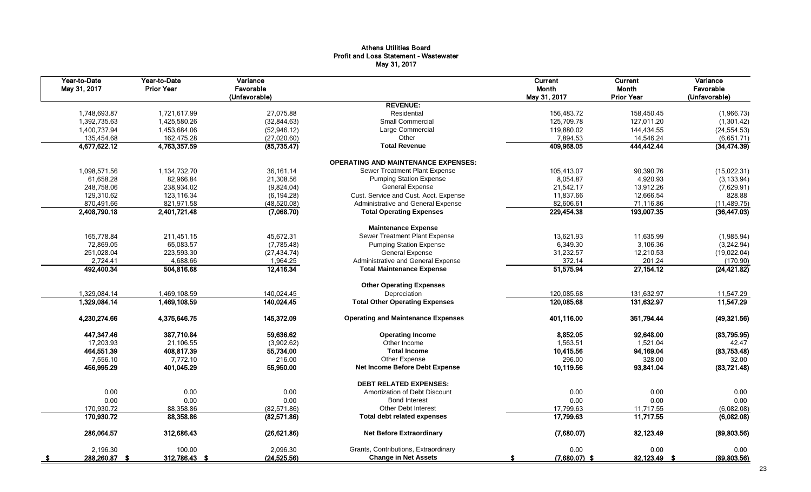#### Athens Utilities Board Profit and Loss Statement - Wastewater May 31, 2017

| Year-to-Date<br>May 31, 2017 | Year-to-Date<br><b>Prior Year</b> | Variance<br>Favorable<br>(Unfavorable) |                                            | Current<br>Month<br>May 31, 2017 | Current<br>Month<br><b>Prior Year</b> | Variance<br>Favorable<br>(Unfavorable) |
|------------------------------|-----------------------------------|----------------------------------------|--------------------------------------------|----------------------------------|---------------------------------------|----------------------------------------|
|                              |                                   |                                        | <b>REVENUE:</b>                            |                                  |                                       |                                        |
| 1,748,693.87                 | 1,721,617.99                      | 27,075.88                              | Residential                                | 156,483.72                       | 158,450.45                            | (1,966.73)                             |
| 1,392,735.63                 | 1,425,580.26                      | (32,844.63)                            | Small Commercial                           | 125,709.78                       | 127,011.20                            | (1,301.42)                             |
| 1,400,737.94                 | 1,453,684.06                      | (52, 946.12)                           | Large Commercial                           | 119,880.02                       | 144,434.55                            | (24, 554.53)                           |
| 135,454.68                   | 162,475.28                        | (27,020.60)                            | Other                                      | 7,894.53                         | 14,546.24                             | (6,651.71)                             |
| 4,677,622.12                 | 4,763,357.59                      | (85, 735.47)                           | <b>Total Revenue</b>                       | 409,968.05                       | 444,442.44                            | (34, 474.39)                           |
|                              |                                   |                                        | <b>OPERATING AND MAINTENANCE EXPENSES:</b> |                                  |                                       |                                        |
| 1,098,571.56                 | 1,134,732.70                      | 36, 161.14                             | Sewer Treatment Plant Expense              | 105,413.07                       | 90,390.76                             | (15,022.31)                            |
| 61,658.28                    | 82,966.84                         | 21,308.56                              | <b>Pumping Station Expense</b>             | 8,054.87                         | 4,920.93                              | (3, 133.94)                            |
| 248,758.06                   | 238,934.02                        | (9,824.04)                             | <b>General Expense</b>                     | 21,542.17                        | 13,912.26                             | (7,629.91)                             |
| 129,310.62                   | 123,116.34                        | (6, 194.28)                            | Cust. Service and Cust. Acct. Expense      | 11,837.66                        | 12,666.54                             | 828.88                                 |
| 870,491.66                   | 821,971.58                        | (48,520.08)                            | Administrative and General Expense         | 82,606.61                        | 71,116.86                             | (11, 489.75)                           |
| 2,408,790.18                 | 2,401,721.48                      | (7,068.70)                             | <b>Total Operating Expenses</b>            | 229,454.38                       | 193,007.35                            | (36, 447.03)                           |
|                              |                                   |                                        | <b>Maintenance Expense</b>                 |                                  |                                       |                                        |
| 165.778.84                   | 211.451.15                        | 45.672.31                              | Sewer Treatment Plant Expense              | 13.621.93                        | 11.635.99                             | (1,985.94)                             |
| 72,869.05                    | 65,083.57                         | (7,785.48)                             | <b>Pumping Station Expense</b>             | 6,349.30                         | 3,106.36                              | (3,242.94)                             |
| 251,028.04                   | 223,593.30                        | (27, 434.74)                           | <b>General Expense</b>                     | 31,232.57                        | 12,210.53                             | (19,022.04)                            |
| 2,724.41                     | 4,688.66                          | 1,964.25                               | Administrative and General Expense         | 372.14                           | 201.24                                | (170.90)                               |
| 492,400.34                   | 504,816.68                        | 12,416.34                              | <b>Total Maintenance Expense</b>           | 51,575.94                        | 27, 154. 12                           | (24, 421.82)                           |
|                              |                                   |                                        | <b>Other Operating Expenses</b>            |                                  |                                       |                                        |
| 1,329,084.14                 | 1,469,108.59                      | 140,024.45                             | Depreciation                               | 120,085.68                       | 131,632.97                            | 11,547.29                              |
| 1,329,084.14                 | 1,469,108.59                      | 140,024.45                             | <b>Total Other Operating Expenses</b>      | 120,085.68                       | 131,632.97                            | 11,547.29                              |
| 4,230,274.66                 | 4,375,646.75                      | 145,372.09                             | <b>Operating and Maintenance Expenses</b>  | 401,116.00                       | 351,794.44                            | (49, 321.56)                           |
| 447,347.46                   | 387,710.84                        | 59,636.62                              | <b>Operating Income</b>                    | 8,852.05                         | 92,648.00                             | (83,795.95)                            |
| 17,203.93                    | 21,106.55                         | (3,902.62)                             | Other Income                               | 1,563.51                         | 1,521.04                              | 42.47                                  |
| 464,551.39                   | 408,817.39                        | 55,734.00                              | <b>Total Income</b>                        | 10,415.56                        | 94,169.04                             | (83,753.48)                            |
| 7,556.10                     | 7,772.10                          | 216.00                                 | Other Expense                              | 296.00                           | 328.00                                | 32.00                                  |
| 456,995.29                   | 401,045.29                        | 55,950.00                              | <b>Net Income Before Debt Expense</b>      | 10,119.56                        | 93,841.04                             | (83,721.48)                            |
|                              |                                   |                                        | <b>DEBT RELATED EXPENSES:</b>              |                                  |                                       |                                        |
| 0.00                         | 0.00                              | 0.00                                   | Amortization of Debt Discount              | 0.00                             | 0.00                                  | 0.00                                   |
| 0.00                         | 0.00                              | 0.00                                   | <b>Bond Interest</b>                       | 0.00                             | 0.00                                  | 0.00                                   |
| 170,930.72                   | 88,358.86                         | (82, 571.86)                           | Other Debt Interest                        | 17,799.63                        | 11,717.55                             | (6,082.08)                             |
| 170,930.72                   | 88,358.86                         | (82, 571.86)                           | <b>Total debt related expenses</b>         | 17,799.63                        | 11,717.55                             | (6,082.08)                             |
| 286,064.57                   | 312,686.43                        | (26, 621.86)                           | <b>Net Before Extraordinary</b>            | (7,680.07)                       | 82,123.49                             | (89, 803.56)                           |
| 2,196.30                     | 100.00                            | 2,096.30                               | Grants, Contributions, Extraordinary       | 0.00                             | 0.00                                  | 0.00                                   |
| 288,260.87 \$                | 312,786.43 \$                     | (24, 525.56)                           | <b>Change in Net Assets</b>                | $(7,680.07)$ \$                  | 82,123.49 \$                          | (89, 803.56)                           |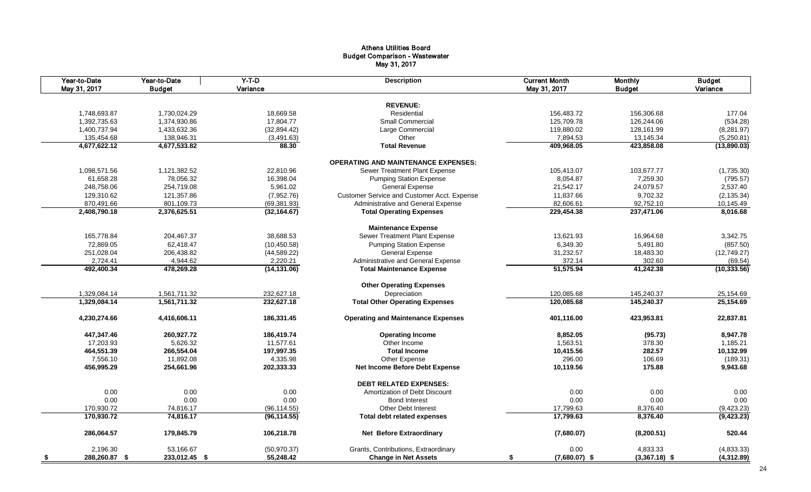#### Athens Utilities Board Budget Comparison - Wastewater May 31, 2017

|      | Year-to-Date<br>May 31, 2017 | Year-to-Date<br><b>Budget</b> | $Y-T-D$<br>Variance | <b>Description</b>                          | <b>Current Month</b><br>May 31, 2017 | <b>Monthly</b><br><b>Budget</b> | <b>Budget</b><br>Variance |
|------|------------------------------|-------------------------------|---------------------|---------------------------------------------|--------------------------------------|---------------------------------|---------------------------|
|      |                              |                               |                     |                                             |                                      |                                 |                           |
|      |                              |                               |                     | <b>REVENUE:</b>                             |                                      |                                 |                           |
|      | 1,748,693.87                 | 1,730,024.29                  | 18,669.58           | Residential                                 | 156,483.72                           | 156,306.68                      | 177.04                    |
|      | 1,392,735.63                 | 1,374,930.86                  | 17,804.77           | <b>Small Commercial</b>                     | 125,709.78                           | 126,244.06                      | (534.28)                  |
|      | 1,400,737.94                 | 1,433,632.36                  | (32, 894.42)        | Large Commercial                            | 119,880.02                           | 128,161.99                      | (8, 281.97)               |
|      | 135,454.68                   | 138,946.31                    | (3,491.63)          | Other                                       | 7,894.53                             | 13,145.34                       | (5,250.81)                |
|      | 4,677,622.12                 | 4,677,533.82                  | 88.30               | <b>Total Revenue</b>                        | 409,968.05                           | 423,858.08                      | (13,890.03)               |
|      |                              |                               |                     | <b>OPERATING AND MAINTENANCE EXPENSES:</b>  |                                      |                                 |                           |
|      | 1,098,571.56                 | 1,121,382.52                  | 22,810.96           | Sewer Treatment Plant Expense               | 105,413.07                           | 103,677.77                      | (1,735.30)                |
|      | 61,658.28                    | 78,056.32                     | 16,398.04           | <b>Pumping Station Expense</b>              | 8,054.87                             | 7,259.30                        | (795.57)                  |
|      | 248,758.06                   | 254,719.08                    | 5,961.02            | General Expense                             | 21,542.17                            | 24,079.57                       | 2,537.40                  |
|      | 129,310.62                   | 121,357.86                    | (7,952.76)          | Customer Service and Customer Acct. Expense | 11,837.66                            | 9,702.32                        | (2, 135.34)               |
|      | 870,491.66                   | 801,109.73                    | (69, 381.93)        | Administrative and General Expense          | 82,606.61                            | 92,752.10                       | 10,145.49                 |
|      | 2,408,790.18                 | 2,376,625.51                  | (32, 164.67)        | <b>Total Operating Expenses</b>             | 229,454.38                           | 237,471.06                      | 8,016.68                  |
|      |                              |                               |                     | <b>Maintenance Expense</b>                  |                                      |                                 |                           |
|      | 165,778.84                   | 204,467.37                    | 38,688.53           | Sewer Treatment Plant Expense               | 13,621.93                            | 16,964.68                       | 3,342.75                  |
|      | 72,869.05                    | 62,418.47                     | (10, 450.58)        | <b>Pumping Station Expense</b>              | 6,349.30                             | 5,491.80                        | (857.50)                  |
|      | 251,028.04                   | 206,438.82                    | (44, 589.22)        | <b>General Expense</b>                      | 31,232.57                            | 18,483.30                       | (12,749.27)               |
|      |                              |                               |                     |                                             | 372.14                               |                                 |                           |
|      | 2,724.41                     | 4,944.62                      | 2,220.21            | Administrative and General Expense          | 51,575.94                            | 302.60                          | (69.54)                   |
|      | 492,400.34                   | 478,269.28                    | (14, 131.06)        | <b>Total Maintenance Expense</b>            |                                      | 41,242.38                       | (10, 333.56)              |
|      |                              |                               |                     | <b>Other Operating Expenses</b>             |                                      |                                 |                           |
|      | 1,329,084.14                 | 1,561,711.32                  | 232,627.18          | Depreciation                                | 120,085.68                           | 145,240.37                      | 25,154.69                 |
|      | 1,329,084.14                 | 1,561,711.32                  | 232,627.18          | <b>Total Other Operating Expenses</b>       | 120,085.68                           | 145,240.37                      | 25,154.69                 |
|      | 4,230,274.66                 | 4,416,606.11                  | 186,331.45          | <b>Operating and Maintenance Expenses</b>   | 401,116.00                           | 423,953.81                      | 22,837.81                 |
|      | 447,347.46                   | 260,927.72                    | 186,419.74          | <b>Operating Income</b>                     | 8,852.05                             | (95.73)                         | 8,947.78                  |
|      | 17,203.93                    | 5,626.32                      | 11,577.61           | Other Income                                | 1,563.51                             | 378.30                          | 1,185.21                  |
|      | 464,551.39                   | 266,554.04                    | 197,997.35          | <b>Total Income</b>                         | 10,415.56                            | 282.57                          | 10,132.99                 |
|      | 7,556.10                     | 11,892.08                     | 4,335.98            | Other Expense                               | 296.00                               | 106.69                          | (189.31)                  |
|      | 456.995.29                   | 254,661.96                    | 202,333.33          | <b>Net Income Before Debt Expense</b>       | 10.119.56                            | 175.88                          | 9,943.68                  |
|      |                              |                               |                     | <b>DEBT RELATED EXPENSES:</b>               |                                      |                                 |                           |
|      | 0.00                         | 0.00                          | 0.00                | Amortization of Debt Discount               | 0.00                                 | 0.00                            | 0.00                      |
|      | 0.00                         | 0.00                          | 0.00                | <b>Bond Interest</b>                        | 0.00                                 | 0.00                            | 0.00                      |
|      | 170,930.72                   | 74,816.17                     | (96, 114.55)        | Other Debt Interest                         | 17,799.63                            | 8,376.40                        | (9,423.23)                |
|      | 170,930.72                   | 74,816.17                     | (96, 114.55)        | <b>Total debt related expenses</b>          | 17,799.63                            | 8,376.40                        | (9, 423.23)               |
|      |                              |                               |                     |                                             |                                      |                                 |                           |
|      | 286,064.57                   | 179,845.79                    | 106,218.78          | <b>Net Before Extraordinary</b>             | (7,680.07)                           | (8, 200.51)                     | 520.44                    |
|      | 2,196.30                     | 53,166.67                     | (50, 970.37)        | Grants, Contributions, Extraordinary        | 0.00                                 | 4,833.33                        | (4,833.33)                |
| - \$ | 288,260.87 \$                | 233,012.45 \$                 | 55,248.42           | <b>Change in Net Assets</b>                 | $(7,680.07)$ \$<br>\$                | $(3,367.18)$ \$                 | (4,312.89)                |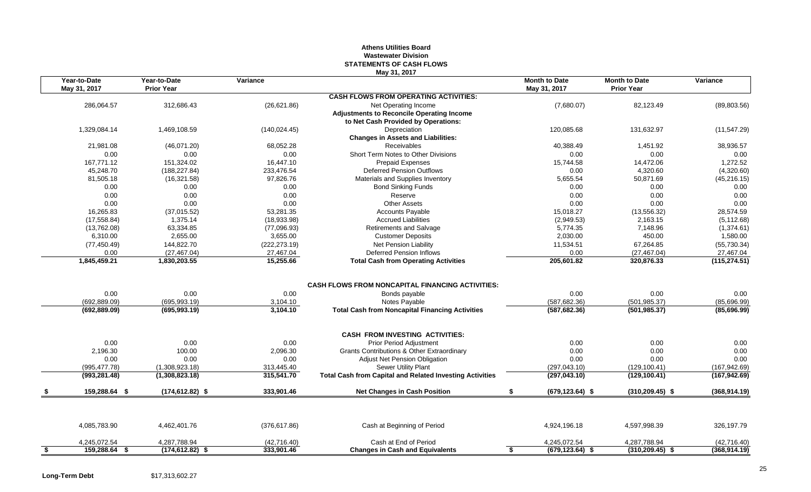#### **Athens Utilities Board Wastewater Division STATEMENTS OF CASH FLOWS May 31, 2017**

| Year-to-Date<br>May 31, 2017 | Year-to-Date<br><b>Prior Year</b> | Variance               | 111uy Ji, Luin                                                                 | <b>Month to Date</b><br>May 31, 2017 | <b>Month to Date</b><br><b>Prior Year</b> | Variance                   |
|------------------------------|-----------------------------------|------------------------|--------------------------------------------------------------------------------|--------------------------------------|-------------------------------------------|----------------------------|
|                              |                                   |                        | <b>CASH FLOWS FROM OPERATING ACTIVITIES:</b>                                   |                                      |                                           |                            |
| 286,064.57                   | 312,686.43                        | (26, 621.86)           | Net Operating Income                                                           | (7,680.07)                           | 82,123.49                                 | (89, 803.56)               |
|                              |                                   |                        | <b>Adjustments to Reconcile Operating Income</b>                               |                                      |                                           |                            |
|                              |                                   |                        | to Net Cash Provided by Operations:                                            |                                      |                                           |                            |
| 1,329,084.14                 | 1,469,108.59                      | (140, 024.45)          | Depreciation                                                                   | 120,085.68                           | 131,632.97                                | (11, 547.29)               |
|                              |                                   |                        | <b>Changes in Assets and Liabilities:</b>                                      |                                      |                                           |                            |
| 21,981.08                    | (46,071.20)                       | 68,052.28              | Receivables                                                                    | 40,388.49                            | 1,451.92                                  | 38,936.57                  |
| 0.00                         | 0.00                              | 0.00                   | Short Term Notes to Other Divisions                                            | 0.00                                 | 0.00                                      | 0.00                       |
| 167,771.12                   | 151,324.02                        | 16,447.10              | Prepaid Expenses                                                               | 15,744.58                            | 14,472.06                                 | 1,272.52                   |
| 45,248.70                    | (188, 227.84)                     | 233,476.54             | <b>Deferred Pension Outflows</b>                                               | 0.00                                 | 4,320.60                                  | (4,320.60)                 |
| 81,505.18                    | (16,321.58)                       | 97,826.76              | Materials and Supplies Inventory                                               | 5,655.54                             | 50,871.69                                 | (45, 216.15)               |
| 0.00                         | 0.00                              | 0.00                   | <b>Bond Sinking Funds</b>                                                      | 0.00                                 | 0.00                                      | 0.00                       |
| 0.00                         | 0.00                              | 0.00                   | Reserve                                                                        | 0.00                                 | 0.00                                      | 0.00                       |
| 0.00                         | 0.00                              | 0.00                   | <b>Other Assets</b>                                                            | 0.00                                 | 0.00                                      | 0.00                       |
| 16,265.83                    | (37,015.52)                       | 53,281.35              | <b>Accounts Payable</b>                                                        | 15,018.27                            | (13, 556.32)                              | 28,574.59                  |
| (17, 558.84)                 | 1,375.14                          | (18,933.98)            | <b>Accrued Liabilities</b>                                                     | (2,949.53)                           | 2,163.15                                  | (5, 112.68)                |
| (13,762.08)                  | 63,334.85                         | (77,096.93)            | Retirements and Salvage                                                        | 5,774.35                             | 7,148.96                                  | (1,374.61)                 |
| 6,310.00                     | 2,655.00                          | 3,655.00               | <b>Customer Deposits</b>                                                       | 2,030.00                             | 450.00                                    | 1,580.00                   |
| (77, 450.49)                 | 144,822.70                        | (222, 273.19)          | Net Pension Liability                                                          | 11,534.51                            | 67,264.85                                 | (55, 730.34)               |
| 0.00<br>1,845,459.21         | (27, 467.04)<br>1,830,203.55      | 27,467.04<br>15,255.66 | <b>Deferred Pension Inflows</b><br><b>Total Cash from Operating Activities</b> | 0.00<br>205,601.82                   | (27, 467.04)<br>320,876.33                | 27,467.04<br>(115, 274.51) |
|                              |                                   |                        |                                                                                |                                      |                                           |                            |
|                              |                                   |                        | CASH FLOWS FROM NONCAPITAL FINANCING ACTIVITIES:                               |                                      |                                           |                            |
| 0.00                         | 0.00                              | 0.00                   | Bonds payable                                                                  | 0.00                                 | 0.00                                      | 0.00                       |
| (692, 889.09)                | (695, 993.19)                     | 3,104.10               | Notes Payable                                                                  | (587, 682.36)                        | (501, 985.37)                             | (85,696.99)                |
| (692, 889.09)                | (695, 993.19)                     | 3,104.10               | <b>Total Cash from Noncapital Financing Activities</b>                         | (587, 682.36)                        | (501, 985.37)                             | (85,696.99)                |
|                              |                                   |                        | <b>CASH FROM INVESTING ACTIVITIES:</b>                                         |                                      |                                           |                            |
| 0.00                         | 0.00                              | 0.00                   | Prior Period Adjustment                                                        | 0.00                                 | 0.00                                      | 0.00                       |
| 2,196.30                     | 100.00                            | 2,096.30               | Grants Contributions & Other Extraordinary                                     | 0.00                                 | 0.00                                      | 0.00                       |
| 0.00                         | 0.00                              | 0.00                   | Adjust Net Pension Obligation                                                  | 0.00                                 | 0.00                                      | 0.00                       |
| (995, 477.78)                | (1,308,923.18)                    | 313,445.40             | Sewer Utility Plant                                                            | (297, 043.10)                        | (129, 100.41)                             | (167, 942.69)              |
| (993, 281.48)                | (1,308,823.18)                    | 315,541.70             | <b>Total Cash from Capital and Related Investing Activities</b>                | (297, 043.10)                        | (129, 100.41)                             | (167, 942.69)              |
| 159,288.64 \$                | $(174, 612.82)$ \$                | 333,901.46             | <b>Net Changes in Cash Position</b>                                            | $(679, 123.64)$ \$<br>\$             | $(310, 209.45)$ \$                        | (368, 914.19)              |
|                              |                                   |                        |                                                                                |                                      |                                           |                            |
| 4,085,783.90                 | 4,462,401.76                      | (376, 617.86)          | Cash at Beginning of Period                                                    | 4,924,196.18                         | 4,597,998.39                              | 326,197.79                 |
| 4,245,072.54                 | 4,287,788.94                      | (42,716.40)            | Cash at End of Period                                                          | 4,245,072.54                         | 4,287,788.94                              | (42, 716.40)               |
| 159,288.64 \$                | $(174, 612.82)$ \$                | 333,901.46             | <b>Changes in Cash and Equivalents</b>                                         | $(679, 123.64)$ \$                   | $(310, 209.45)$ \$                        | (368, 914.19)              |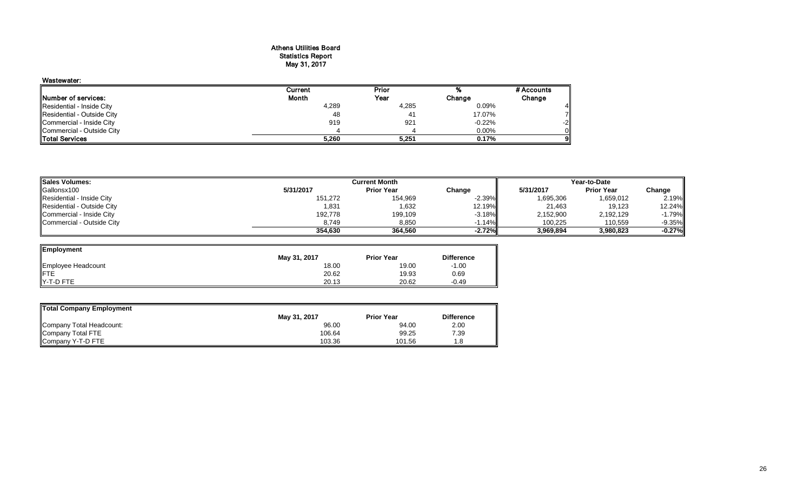#### Athens Utilities Board Statistics Report May 31, 2017

| Wastewater:                |         |       |          |            |
|----------------------------|---------|-------|----------|------------|
|                            | Current | Prior |          | # Accounts |
| Number of services:        | Month   | Year  | Change   | Change     |
| Residential - Inside City  | 4,289   | 4,285 | 0.09%    |            |
| Residential - Outside City | 48      | 41    | 17.07%   |            |
| Commercial - Inside City   | 919     | 921   | $-0.22%$ | -21        |
| Commercial - Outside City  |         |       | $0.00\%$ |            |
| Total Services             | 5,260   | 5.251 | 0.17%    |            |

| <b>Sales Volumes:</b>      | Current Month |                   |           | Year-to-Date |                   |           |
|----------------------------|---------------|-------------------|-----------|--------------|-------------------|-----------|
| Gallonsx100                | 5/31/2017     | <b>Prior Year</b> | Change    | 5/31/2017    | <b>Prior Year</b> | Change    |
| Residential - Inside City  | 151,272       | 154,969           | $-2.39\%$ | 1,695,306    | 1,659,012         | 2.19%     |
| Residential - Outside City | 1,831         | 1,632             | 12.19%l   | 21.463       | 19,123            | 12.24%    |
| Commercial - Inside City   | 192,778       | 199,109           | $-3.18\%$ | 2,152,900    | 2,192,129         | $-1.79\%$ |
| Commercial - Outside City  | 8.749         | 8,850             | 1.14%     | 100.225      | 110,559           | $-9.35\%$ |
|                            | 354.630       | 364.560           | $-2.72%$  | 3.969.894    | 3,980,823         | $-0.27%$  |

| Employment         |              |                   |                   |
|--------------------|--------------|-------------------|-------------------|
|                    | May 31, 2017 | <b>Prior Year</b> | <b>Difference</b> |
| Employee Headcount | 18.00        | 19.00             | $-1.00$           |
|                    | 20.62        | 19.93             | 0.69              |
| Y-T-D FTE          | 20.13        | 20.62             | $-0.49$           |

| <b>Total Company Employment</b> |              |                   |                   |
|---------------------------------|--------------|-------------------|-------------------|
|                                 | May 31, 2017 | <b>Prior Year</b> | <b>Difference</b> |
| Company Total Headcount:        | 96.00        | 94.00             | 2.00              |
| Company Total FTE               | 106.64       | 99.25             | 7.39              |
| Company Y-T-D FTE               | 103.36       | 101.56            | 1.8               |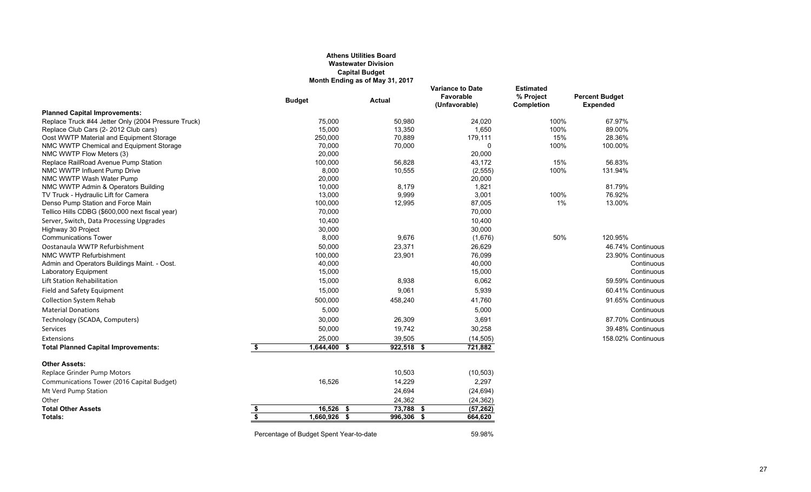#### **Athens Utilities Board Wastewater Division Capital Budget Month Ending as of May 31, 2017**

|                                                                                      | <b>Budget</b>                           | Actual       | <b>Variance to Date</b><br>Favorable<br>(Unfavorable) | <b>Estimated</b><br>% Project<br>Completion | <b>Percent Budget</b><br><b>Expended</b> |
|--------------------------------------------------------------------------------------|-----------------------------------------|--------------|-------------------------------------------------------|---------------------------------------------|------------------------------------------|
| <b>Planned Capital Improvements:</b>                                                 |                                         |              |                                                       |                                             |                                          |
| Replace Truck #44 Jetter Only (2004 Pressure Truck)                                  | 75,000                                  | 50,980       | 24,020                                                | 100%                                        | 67.97%                                   |
| Replace Club Cars (2-2012 Club cars)                                                 | 15,000                                  | 13,350       | 1,650                                                 | 100%                                        | 89.00%                                   |
| Oost WWTP Material and Equipment Storage                                             | 250,000                                 | 70,889       | 179,111                                               | 15%                                         | 28.36%                                   |
| NMC WWTP Chemical and Equipment Storage                                              | 70,000                                  | 70,000       | $\Omega$                                              | 100%                                        | 100.00%                                  |
| NMC WWTP Flow Meters (3)                                                             | 20,000                                  |              | 20,000                                                |                                             |                                          |
| Replace RailRoad Avenue Pump Station                                                 | 100,000                                 | 56,828       | 43,172                                                | 15%                                         | 56.83%                                   |
| NMC WWTP Influent Pump Drive                                                         | 8,000                                   | 10,555       | (2, 555)                                              | 100%                                        | 131.94%                                  |
| NMC WWTP Wash Water Pump                                                             | 20,000                                  |              | 20,000                                                |                                             |                                          |
| NMC WWTP Admin & Operators Building                                                  | 10,000                                  | 8,179        | 1,821                                                 |                                             | 81.79%                                   |
| TV Truck - Hydraulic Lift for Camera                                                 | 13,000                                  | 9,999        | 3,001<br>87,005                                       | 100%<br>1%                                  | 76.92%<br>13.00%                         |
| Denso Pump Station and Force Main<br>Tellico Hills CDBG (\$600,000 next fiscal year) | 100,000<br>70,000                       | 12,995       | 70,000                                                |                                             |                                          |
|                                                                                      | 10,400                                  |              | 10,400                                                |                                             |                                          |
| Server, Switch, Data Processing Upgrades                                             |                                         |              | 30,000                                                |                                             |                                          |
| Highway 30 Project<br><b>Communications Tower</b>                                    | 30,000<br>8,000                         | 9,676        | (1,676)                                               | 50%                                         | 120.95%                                  |
| Oostanaula WWTP Refurbishment                                                        | 50,000                                  | 23,371       | 26,629                                                |                                             | 46.74% Continuous                        |
| NMC WWTP Refurbishment                                                               | 100,000                                 | 23,901       | 76,099                                                |                                             | 23.90% Continuous                        |
| Admin and Operators Buildings Maint. - Oost.                                         | 40,000                                  |              | 40,000                                                |                                             | Continuous                               |
| Laboratory Equipment                                                                 | 15,000                                  |              | 15,000                                                |                                             | Continuous                               |
| Lift Station Rehabilitation                                                          | 15,000                                  | 8,938        | 6,062                                                 |                                             | 59.59% Continuous                        |
| Field and Safety Equipment                                                           | 15,000                                  | 9,061        | 5,939                                                 |                                             | 60.41% Continuous                        |
| <b>Collection System Rehab</b>                                                       | 500,000                                 | 458,240      | 41,760                                                |                                             | 91.65% Continuous                        |
| <b>Material Donations</b>                                                            | 5,000                                   |              | 5,000                                                 |                                             | Continuous                               |
|                                                                                      |                                         |              |                                                       |                                             | 87.70% Continuous                        |
| Technology (SCADA, Computers)                                                        | 30,000                                  | 26,309       | 3,691                                                 |                                             |                                          |
| Services                                                                             | 50,000                                  | 19,742       | 30,258                                                |                                             | 39.48% Continuous                        |
| Extensions                                                                           | 25,000                                  | 39,505       | (14, 505)                                             |                                             | 158.02% Continuous                       |
| <b>Total Planned Capital Improvements:</b>                                           | \$<br>$1,644,400$ \$                    | $922,518$ \$ | 721,882                                               |                                             |                                          |
| <b>Other Assets:</b>                                                                 |                                         |              |                                                       |                                             |                                          |
| Replace Grinder Pump Motors                                                          |                                         | 10,503       | (10, 503)                                             |                                             |                                          |
| Communications Tower (2016 Capital Budget)                                           | 16,526                                  | 14,229       | 2,297                                                 |                                             |                                          |
| Mt Verd Pump Station                                                                 |                                         | 24,694       | (24, 694)                                             |                                             |                                          |
| Other                                                                                |                                         | 24,362       | (24, 362)                                             |                                             |                                          |
| <b>Total Other Assets</b>                                                            | \$<br>16,526 \$                         | 73,788 \$    | (57, 262)                                             |                                             |                                          |
| Totals:                                                                              | \$<br>1,660,926 \$                      | 996,306 \$   | 664,620                                               |                                             |                                          |
|                                                                                      | Percentage of Budget Spent Year-to-date |              | 59.98%                                                |                                             |                                          |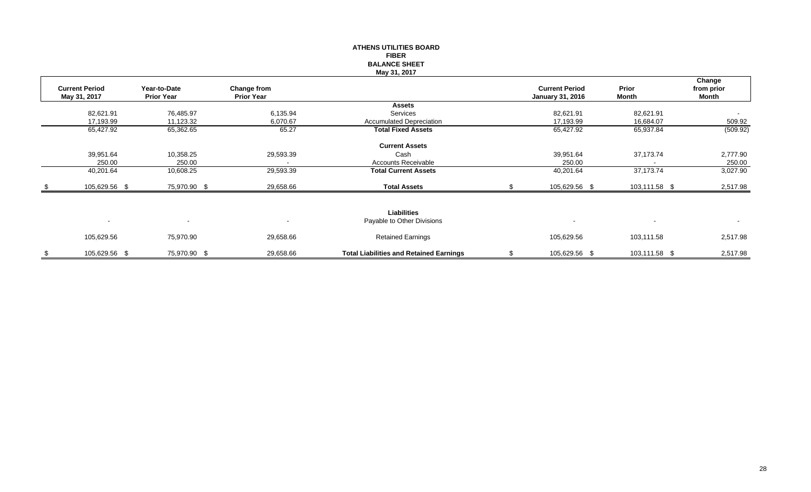|      |                                       |                                   |                                         | <b>ATHENS UTILITIES BOARD</b><br><b>FIBER</b><br><b>BALANCE SHEET</b><br>May 31, 2017 |                                                  |                        |                               |
|------|---------------------------------------|-----------------------------------|-----------------------------------------|---------------------------------------------------------------------------------------|--------------------------------------------------|------------------------|-------------------------------|
|      | <b>Current Period</b><br>May 31, 2017 | Year-to-Date<br><b>Prior Year</b> | <b>Change from</b><br><b>Prior Year</b> |                                                                                       | <b>Current Period</b><br><b>January 31, 2016</b> | Prior<br><b>Month</b>  | Change<br>from prior<br>Month |
|      |                                       |                                   |                                         | <b>Assets</b><br>Services                                                             |                                                  |                        |                               |
|      | 82,621.91<br>17,193.99                | 76,485.97<br>11,123.32            | 6,135.94<br>6,070.67                    | <b>Accumulated Depreciation</b>                                                       | 82,621.91<br>17,193.99                           | 82,621.91<br>16,684.07 | $\blacksquare$<br>509.92      |
|      | 65,427.92                             | 65,362.65                         | 65.27                                   | <b>Total Fixed Assets</b>                                                             | 65,427.92                                        | 65,937.84              | (509.92)                      |
|      | 39,951.64<br>250.00                   | 10,358.25<br>250.00               | 29,593.39                               | <b>Current Assets</b><br>Cash<br>Accounts Receivable                                  | 39,951.64<br>250.00                              | 37,173.74              | 2,777.90<br>250.00            |
|      | 40,201.64                             | 10,608.25                         | 29,593.39                               | <b>Total Current Assets</b>                                                           | 40,201.64                                        | 37,173.74              | 3,027.90                      |
| - \$ | 105,629.56 \$                         | 75,970.90 \$                      | 29,658.66                               | <b>Total Assets</b>                                                                   | 105,629.56 \$                                    | 103,111.58 \$          | 2,517.98                      |
|      | $\sim$                                | $\blacksquare$                    | $\overline{\phantom{a}}$                | Liabilities<br>Payable to Other Divisions                                             | $\overline{\phantom{a}}$                         | $\blacksquare$         | $\sim$                        |
|      | 105,629.56                            | 75,970.90                         | 29,658.66                               | <b>Retained Earnings</b>                                                              | 105,629.56                                       | 103,111.58             | 2,517.98                      |
| \$   | 105,629.56 \$                         | 75,970.90 \$                      | 29,658.66                               | <b>Total Liabilities and Retained Earnings</b>                                        | \$<br>105,629.56 \$                              | 103,111.58 \$          | 2,517.98                      |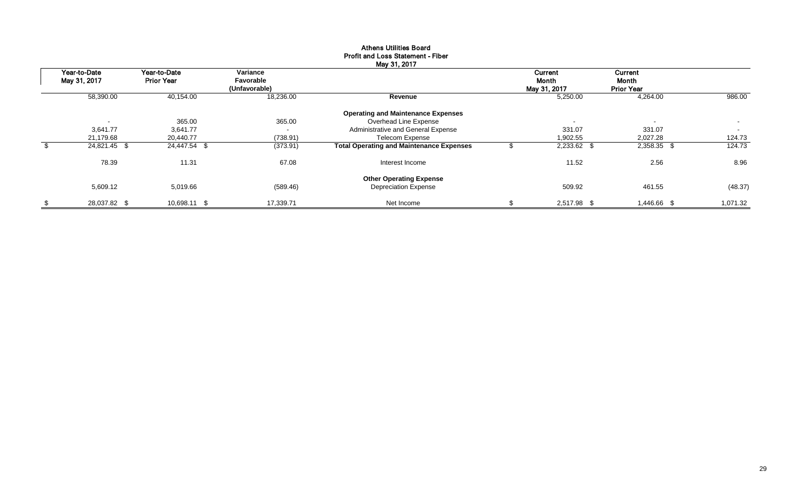|                              |                                   |                                        | May 31, 2017                                    |                                         |                                       |          |
|------------------------------|-----------------------------------|----------------------------------------|-------------------------------------------------|-----------------------------------------|---------------------------------------|----------|
| Year-to-Date<br>May 31, 2017 | Year-to-Date<br><b>Prior Year</b> | Variance<br>Favorable<br>(Unfavorable) |                                                 | Current<br><b>Month</b><br>May 31, 2017 | Current<br>Month<br><b>Prior Year</b> |          |
| 58,390.00                    | 40,154.00                         | 18,236.00                              | Revenue                                         | 5,250.00                                | 4,264.00                              | 986.00   |
|                              |                                   |                                        | <b>Operating and Maintenance Expenses</b>       |                                         |                                       |          |
|                              | 365.00                            | 365.00                                 | Overhead Line Expense                           | $\overline{\phantom{a}}$                | $\overline{\phantom{a}}$              | $\sim$   |
| 3,641.77                     | 3,641.77                          | $\sim$                                 | Administrative and General Expense              | 331.07                                  | 331.07                                | $\sim$   |
| 21,179.68                    | 20,440.77                         | (738.91)                               | <b>Telecom Expense</b>                          | 1,902.55                                | 2,027.28                              | 124.73   |
| $24,821.45$ \$               | 24,447.54 \$                      | (373.91)                               | <b>Total Operating and Maintenance Expenses</b> | 2,233.62 \$                             | 2,358.35 \$                           | 124.73   |
| 78.39                        | 11.31                             | 67.08                                  | Interest Income                                 | 11.52                                   | 2.56                                  | 8.96     |
|                              |                                   |                                        | <b>Other Operating Expense</b>                  |                                         |                                       |          |
| 5,609.12                     | 5,019.66                          | (589.46)                               | <b>Depreciation Expense</b>                     | 509.92                                  | 461.55                                | (48.37)  |
| \$<br>28,037.82 \$           | 10,698.11 \$                      | 17.339.71                              | Net Income                                      | 2,517.98 \$                             | 1,446.66 \$                           | 1,071.32 |

## Athens Utilities Board Profit and Loss Statement - Fiber